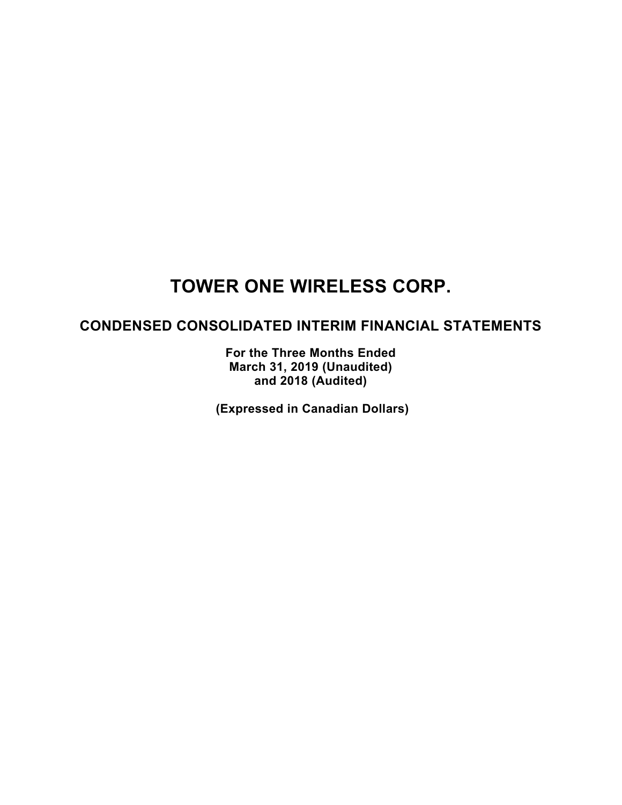### **CONDENSED CONSOLIDATED INTERIM FINANCIAL STATEMENTS**

**For the Three Months Ended March 31, 2019 (Unaudited) and 2018 (Audited)**

**(Expressed in Canadian Dollars)**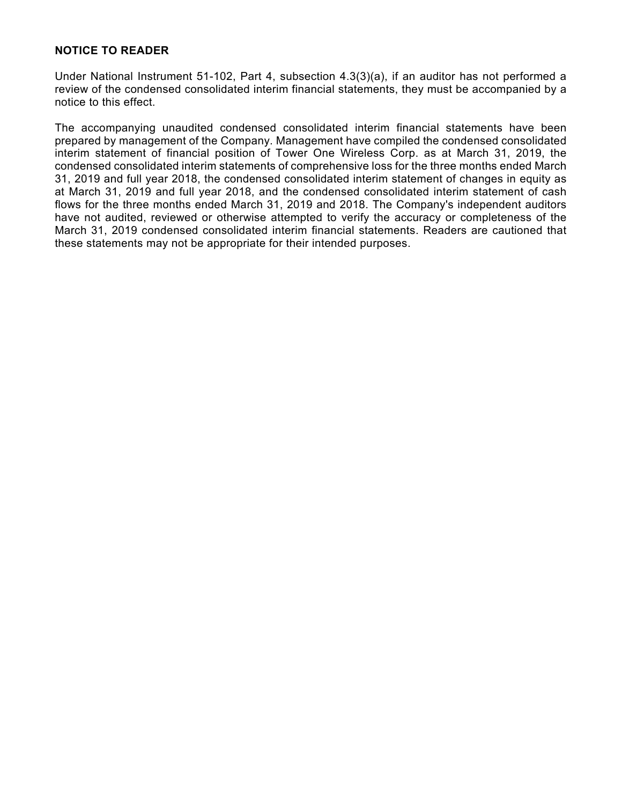### **NOTICE TO READER**

Under National Instrument 51-102, Part 4, subsection 4.3(3)(a), if an auditor has not performed a review of the condensed consolidated interim financial statements, they must be accompanied by a notice to this effect.

The accompanying unaudited condensed consolidated interim financial statements have been prepared by management of the Company. Management have compiled the condensed consolidated interim statement of financial position of Tower One Wireless Corp. as at March 31, 2019, the condensed consolidated interim statements of comprehensive loss for the three months ended March 31, 2019 and full year 2018, the condensed consolidated interim statement of changes in equity as at March 31, 2019 and full year 2018, and the condensed consolidated interim statement of cash flows for the three months ended March 31, 2019 and 2018. The Company's independent auditors have not audited, reviewed or otherwise attempted to verify the accuracy or completeness of the March 31, 2019 condensed consolidated interim financial statements. Readers are cautioned that these statements may not be appropriate for their intended purposes.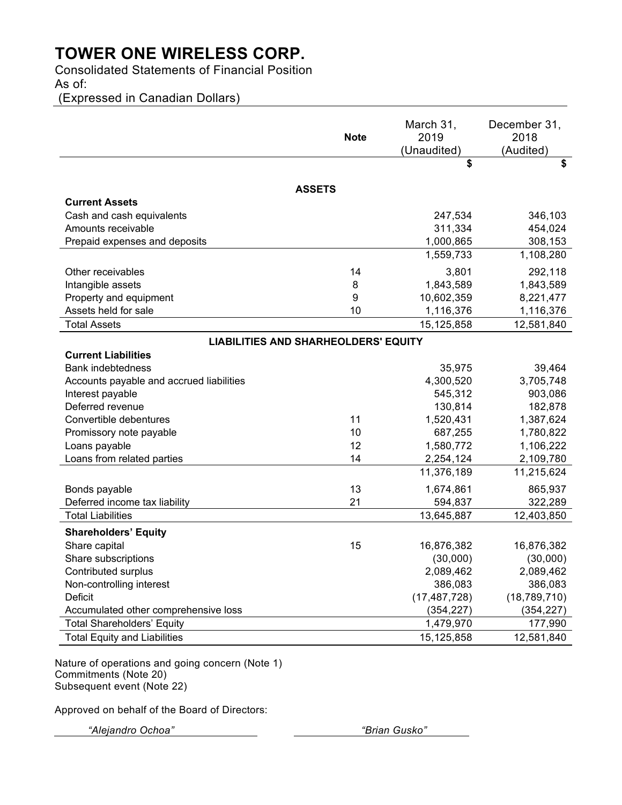Consolidated Statements of Financial Position As of:

(Expressed in Canadian Dollars)

|                                             | <b>Note</b> | March 31,<br>2019<br>(Unaudited) | December 31,<br>2018<br>(Audited) |
|---------------------------------------------|-------------|----------------------------------|-----------------------------------|
|                                             |             | \$                               | \$                                |
|                                             |             |                                  |                                   |
| <b>ASSETS</b><br><b>Current Assets</b>      |             |                                  |                                   |
| Cash and cash equivalents                   |             | 247,534                          | 346,103                           |
| Amounts receivable                          |             | 311,334                          | 454,024                           |
| Prepaid expenses and deposits               |             | 1,000,865                        | 308,153                           |
|                                             |             | 1,559,733                        | 1,108,280                         |
| Other receivables                           | 14          | 3,801                            | 292,118                           |
| Intangible assets                           | 8           | 1,843,589                        | 1,843,589                         |
| Property and equipment                      | 9           | 10,602,359                       | 8,221,477                         |
| Assets held for sale                        | 10          | 1,116,376                        | 1,116,376                         |
| Total Assets                                |             | 15,125,858                       | 12,581,840                        |
| <b>LIABILITIES AND SHARHEOLDERS' EQUITY</b> |             |                                  |                                   |
| <b>Current Liabilities</b>                  |             |                                  |                                   |
| <b>Bank indebtedness</b>                    |             | 35,975                           | 39,464                            |
| Accounts payable and accrued liabilities    |             | 4,300,520                        | 3,705,748                         |
| Interest payable                            |             | 545,312                          | 903,086                           |
| Deferred revenue                            |             | 130,814                          | 182,878                           |
| Convertible debentures                      | 11          | 1,520,431                        | 1,387,624                         |
| Promissory note payable                     | 10          | 687,255                          | 1,780,822                         |
| Loans payable                               | 12          | 1,580,772                        | 1,106,222                         |
| Loans from related parties                  | 14          | 2,254,124                        | 2,109,780                         |
|                                             |             | 11,376,189                       | 11,215,624                        |
| Bonds payable                               | 13          | 1,674,861                        | 865,937                           |
| Deferred income tax liability               | 21          | 594,837                          | 322,289                           |
| <b>Total Liabilities</b>                    |             | 13,645,887                       | 12,403,850                        |
| <b>Shareholders' Equity</b>                 |             |                                  |                                   |
| Share capital                               | 15          | 16,876,382                       | 16,876,382                        |
| Share subscriptions                         |             | (30,000)                         | (30,000)                          |
| Contributed surplus                         |             | 2,089,462                        | 2,089,462                         |
| Non-controlling interest                    |             | 386,083                          | 386,083                           |
| <b>Deficit</b>                              |             | (17, 487, 728)                   | (18, 789, 710)                    |
| Accumulated other comprehensive loss        |             | (354, 227)                       | (354, 227)                        |
| <b>Total Shareholders' Equity</b>           |             | 1,479,970                        | 177,990                           |
| <b>Total Equity and Liabilities</b>         |             | 15,125,858                       | 12,581,840                        |

Nature of operations and going concern (Note 1) Commitments (Note 20) Subsequent event (Note 22)

Approved on behalf of the Board of Directors:

*"Alejandro Ochoa" "Brian Gusko"*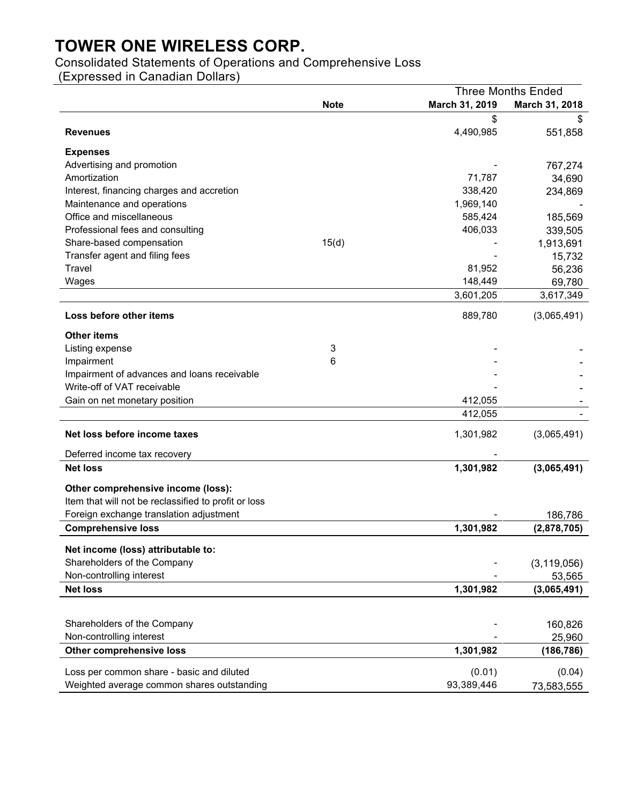Consolidated Statements of Operations and Comprehensive Loss

(Expressed in Canadian Dollars)

|                                                      |             |                | <b>Three Months Ended</b> |
|------------------------------------------------------|-------------|----------------|---------------------------|
|                                                      | <b>Note</b> | March 31, 2019 | March 31, 2018            |
|                                                      |             | \$             |                           |
| <b>Revenues</b>                                      |             | 4,490,985      | 551,858                   |
| <b>Expenses</b>                                      |             |                |                           |
| Advertising and promotion                            |             |                | 767,274                   |
| Amortization                                         |             | 71,787         | 34,690                    |
| Interest, financing charges and accretion            |             | 338,420        | 234,869                   |
| Maintenance and operations                           |             | 1,969,140      |                           |
| Office and miscellaneous                             |             | 585,424        | 185,569                   |
| Professional fees and consulting                     |             | 406,033        | 339,505                   |
| Share-based compensation                             | 15(d)       |                | 1,913,691                 |
| Transfer agent and filing fees                       |             |                | 15,732                    |
| Travel                                               |             | 81,952         | 56,236                    |
| Wages                                                |             | 148,449        | 69,780                    |
|                                                      |             | 3,601,205      | 3,617,349                 |
| Loss before other items                              |             | 889,780        | (3,065,491)               |
| <b>Other items</b>                                   |             |                |                           |
| Listing expense                                      | 3           |                |                           |
| Impairment                                           | 6           |                |                           |
| Impairment of advances and loans receivable          |             |                |                           |
| Write-off of VAT receivable                          |             |                |                           |
| Gain on net monetary position                        |             | 412,055        |                           |
|                                                      |             | 412,055        |                           |
| Net loss before income taxes                         |             | 1,301,982      | (3,065,491)               |
| Deferred income tax recovery                         |             |                |                           |
| <b>Net loss</b>                                      |             | 1,301,982      | (3,065,491)               |
| Other comprehensive income (loss):                   |             |                |                           |
| Item that will not be reclassified to profit or loss |             |                |                           |
| Foreign exchange translation adjustment              |             |                | 186,786                   |
| <b>Comprehensive loss</b>                            |             | 1,301,982      | (2,878,705)               |
| Net income (loss) attributable to:                   |             |                |                           |
| Shareholders of the Company                          |             |                | (3, 119, 056)             |
| Non-controlling interest                             |             |                | 53,565                    |
| <b>Net loss</b>                                      |             | 1,301,982      | (3,065,491)               |
|                                                      |             |                |                           |
| Shareholders of the Company                          |             |                | 160,826                   |
| Non-controlling interest                             |             |                | 25,960                    |
| <b>Other comprehensive loss</b>                      |             | 1,301,982      | (186, 786)                |
| Loss per common share - basic and diluted            |             | (0.01)         | (0.04)                    |
| Weighted average common shares outstanding           |             | 93,389,446     | 73,583,555                |
|                                                      |             |                |                           |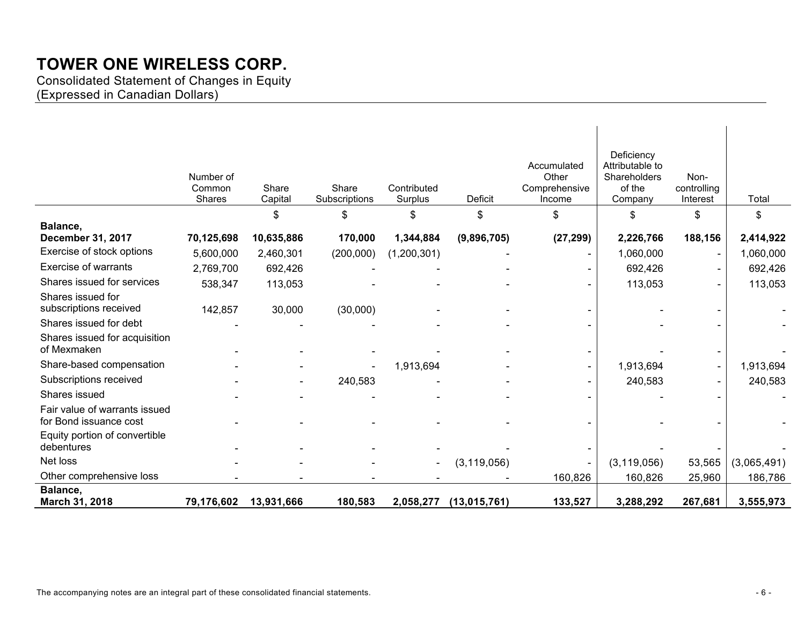Consolidated Statement of Changes in Equity (Expressed in Canadian Dollars)

|                                                         | Number of<br>Common<br><b>Shares</b> | Share<br>Capital | Share<br>Subscriptions | Contributed<br>Surplus | <b>Deficit</b> | Accumulated<br>Other<br>Comprehensive<br>Income | Deficiency<br>Attributable to<br>Shareholders<br>of the<br>Company | Non-<br>controlling<br>Interest | Total       |
|---------------------------------------------------------|--------------------------------------|------------------|------------------------|------------------------|----------------|-------------------------------------------------|--------------------------------------------------------------------|---------------------------------|-------------|
|                                                         |                                      | \$               | \$                     | \$                     | \$             | \$                                              | \$                                                                 | \$                              | \$          |
| Balance,<br><b>December 31, 2017</b>                    | 70,125,698                           | 10,635,886       | 170,000                | 1,344,884              | (9,896,705)    | (27, 299)                                       | 2,226,766                                                          | 188,156                         | 2,414,922   |
| Exercise of stock options                               | 5,600,000                            | 2,460,301        | (200,000)              | (1,200,301)            |                |                                                 | 1,060,000                                                          | $\blacksquare$                  | 1,060,000   |
| <b>Exercise of warrants</b>                             | 2,769,700                            | 692,426          |                        |                        |                |                                                 | 692,426                                                            |                                 | 692,426     |
| Shares issued for services                              | 538,347                              | 113,053          |                        |                        |                |                                                 | 113,053                                                            |                                 | 113,053     |
| Shares issued for<br>subscriptions received             | 142,857                              | 30,000           | (30,000)               |                        |                |                                                 |                                                                    |                                 |             |
| Shares issued for debt                                  |                                      |                  |                        |                        |                |                                                 |                                                                    |                                 |             |
| Shares issued for acquisition<br>of Mexmaken            |                                      |                  |                        |                        |                |                                                 |                                                                    |                                 |             |
| Share-based compensation                                |                                      |                  |                        | 1,913,694              |                |                                                 | 1,913,694                                                          | $\blacksquare$                  | 1,913,694   |
| Subscriptions received                                  |                                      |                  | 240,583                |                        |                |                                                 | 240,583                                                            |                                 | 240,583     |
| Shares issued                                           |                                      |                  |                        |                        |                |                                                 |                                                                    |                                 |             |
| Fair value of warrants issued<br>for Bond issuance cost |                                      |                  |                        |                        |                |                                                 |                                                                    |                                 |             |
| Equity portion of convertible<br>debentures             |                                      |                  |                        |                        |                |                                                 |                                                                    |                                 |             |
| Net loss                                                |                                      |                  |                        |                        | (3, 119, 056)  |                                                 | (3, 119, 056)                                                      | 53,565                          | (3,065,491) |
| Other comprehensive loss                                |                                      |                  |                        |                        |                | 160,826                                         | 160,826                                                            | 25,960                          | 186,786     |
| Balance,<br>March 31, 2018                              | 79,176,602                           | 13,931,666       | 180,583                | 2,058,277              | (13,015,761)   | 133,527                                         | 3,288,292                                                          | 267,681                         | 3,555,973   |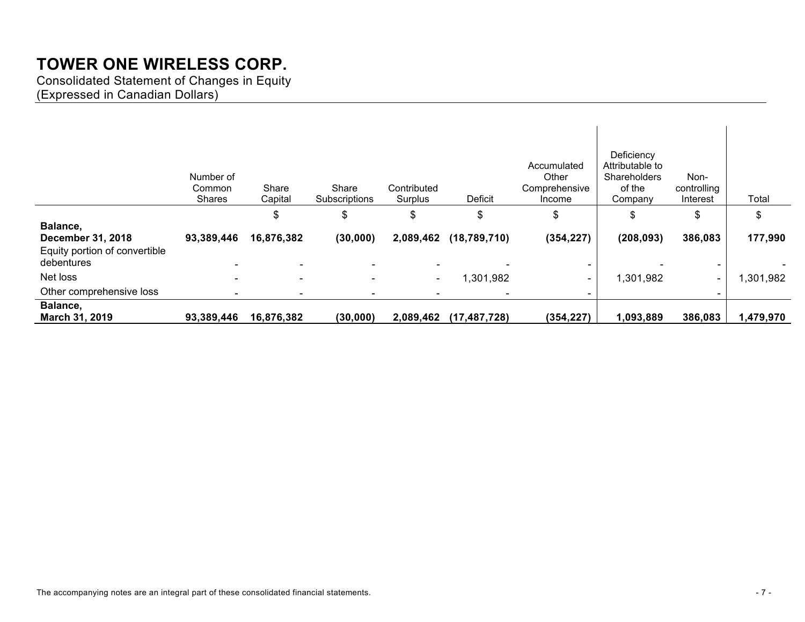Consolidated Statement of Changes in Equity (Expressed in Canadian Dollars)

|                                                                       | Number of<br>Common<br><b>Shares</b> | Share<br>Capital         | Share<br>Subscriptions | Contributed<br>Surplus | Deficit        | Accumulated<br>Other<br>Comprehensive<br>Income | Deficiency<br>Attributable to<br><b>Shareholders</b><br>of the<br>Company | Non-<br>controlling<br>Interest | Total     |
|-----------------------------------------------------------------------|--------------------------------------|--------------------------|------------------------|------------------------|----------------|-------------------------------------------------|---------------------------------------------------------------------------|---------------------------------|-----------|
|                                                                       |                                      | \$                       | \$                     | \$                     | \$             | \$                                              | \$                                                                        | \$                              |           |
| Balance,<br><b>December 31, 2018</b><br>Equity portion of convertible | 93,389,446                           | 16,876,382               | (30,000)               | 2,089,462              | (18, 789, 710) | (354, 227)                                      | (208, 093)                                                                | 386,083                         | 177,990   |
| debentures<br>Net loss                                                |                                      | $\overline{\phantom{0}}$ |                        |                        |                | $\overline{\phantom{0}}$                        |                                                                           |                                 |           |
| Other comprehensive loss                                              |                                      | $\blacksquare$           | $\blacksquare$         | $\sim$                 | ,301,982       | $\sim$                                          | 1,301,982                                                                 | $\blacksquare$                  | 1,301,982 |
| Balance,<br>March 31, 2019                                            | 93,389,446                           | 16,876,382               | (30,000)               | 2,089,462              | (17, 487, 728) | (354, 227)                                      | 1,093,889                                                                 | 386,083                         | 1,479,970 |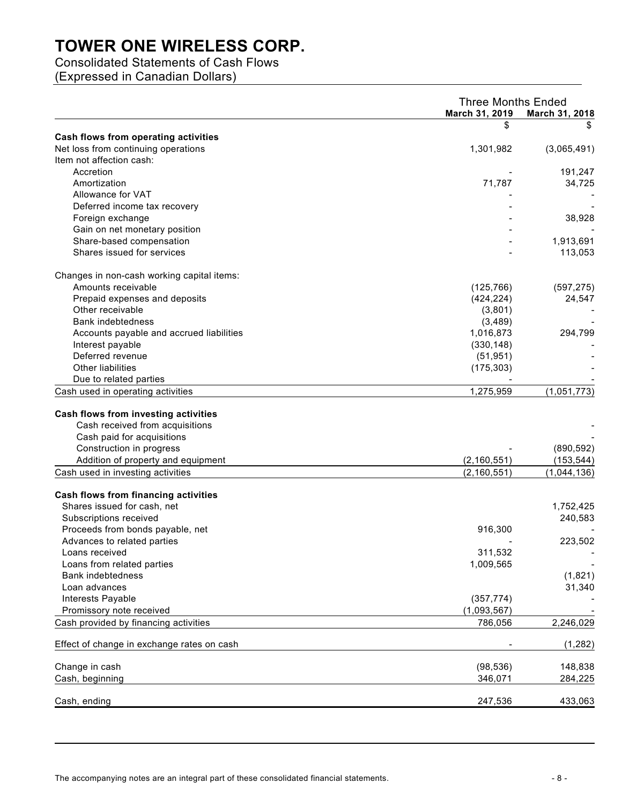Consolidated Statements of Cash Flows

(Expressed in Canadian Dollars)

|                                            | <b>Three Months Ended</b> |                |
|--------------------------------------------|---------------------------|----------------|
|                                            | March 31, 2019<br>S       | March 31, 2018 |
| Cash flows from operating activities       |                           |                |
| Net loss from continuing operations        | 1,301,982                 | (3,065,491)    |
| Item not affection cash:                   |                           |                |
| Accretion                                  |                           | 191,247        |
| Amortization                               | 71,787                    | 34,725         |
| Allowance for VAT                          |                           |                |
| Deferred income tax recovery               |                           |                |
| Foreign exchange                           |                           | 38,928         |
| Gain on net monetary position              |                           |                |
| Share-based compensation                   |                           | 1,913,691      |
| Shares issued for services                 |                           | 113,053        |
| Changes in non-cash working capital items: |                           |                |
| Amounts receivable                         | (125, 766)                | (597, 275)     |
| Prepaid expenses and deposits              | (424, 224)                | 24,547         |
| Other receivable                           | (3,801)                   |                |
| <b>Bank indebtedness</b>                   | (3, 489)                  |                |
| Accounts payable and accrued liabilities   | 1,016,873                 | 294,799        |
| Interest payable                           | (330, 148)                |                |
| Deferred revenue                           | (51, 951)                 |                |
| Other liabilities                          | (175, 303)                |                |
| Due to related parties                     |                           |                |
| Cash used in operating activities          | 1,275,959                 | (1,051,773)    |
|                                            |                           |                |
| Cash flows from investing activities       |                           |                |
| Cash received from acquisitions            |                           |                |
| Cash paid for acquisitions                 |                           |                |
| Construction in progress                   |                           | (890, 592)     |
| Addition of property and equipment         | (2, 160, 551)             | (153, 544)     |
| Cash used in investing activities          | (2, 160, 551)             | (1,044,136)    |
| Cash flows from financing activities       |                           |                |
| Shares issued for cash, net                |                           | 1,752,425      |
| Subscriptions received                     |                           | 240,583        |
| Proceeds from bonds payable, net           | 916,300                   |                |
| Advances to related parties                |                           | 223,502        |
| Loans received                             | 311,532                   |                |
| Loans from related parties                 | 1,009,565                 |                |
| <b>Bank indebtedness</b>                   |                           | (1,821)        |
| Loan advances                              |                           | 31,340         |
| Interests Payable                          | (357, 774)                |                |
| Promissory note received                   | (1,093,567)               |                |
| Cash provided by financing activities      | 786,056                   | 2,246,029      |
| Effect of change in exchange rates on cash |                           | (1, 282)       |
| Change in cash                             | (98, 536)                 | 148,838        |
| Cash, beginning                            | 346,071                   | 284,225        |
|                                            |                           |                |
| Cash, ending                               | 247,536                   | 433,063        |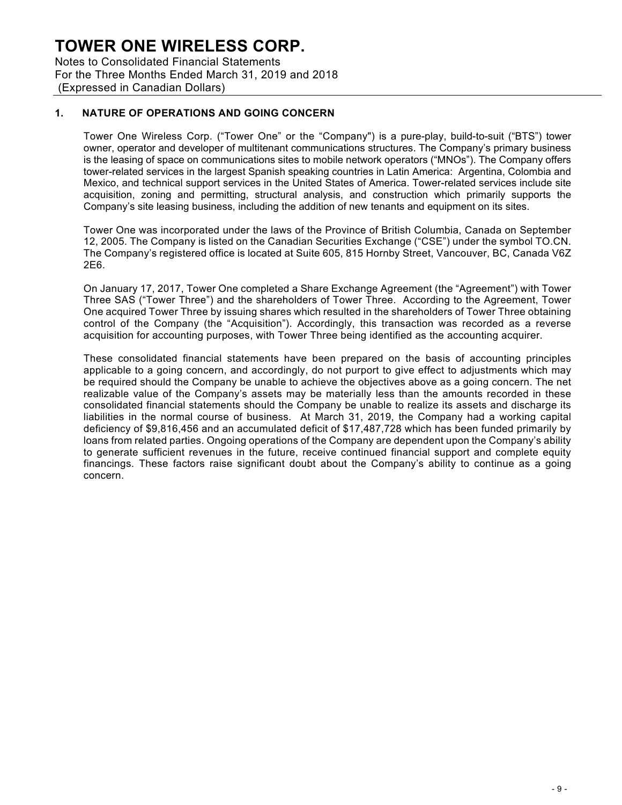Notes to Consolidated Financial Statements For the Three Months Ended March 31, 2019 and 2018 (Expressed in Canadian Dollars)

### **1. NATURE OF OPERATIONS AND GOING CONCERN**

Tower One Wireless Corp. ("Tower One" or the "Company") is a pure-play, build-to-suit ("BTS") tower owner, operator and developer of multitenant communications structures. The Company's primary business is the leasing of space on communications sites to mobile network operators ("MNOs"). The Company offers tower-related services in the largest Spanish speaking countries in Latin America: Argentina, Colombia and Mexico, and technical support services in the United States of America. Tower-related services include site acquisition, zoning and permitting, structural analysis, and construction which primarily supports the Company's site leasing business, including the addition of new tenants and equipment on its sites.

Tower One was incorporated under the laws of the Province of British Columbia, Canada on September 12, 2005. The Company is listed on the Canadian Securities Exchange ("CSE") under the symbol TO.CN. The Company's registered office is located at Suite 605, 815 Hornby Street, Vancouver, BC, Canada V6Z 2E6.

On January 17, 2017, Tower One completed a Share Exchange Agreement (the "Agreement") with Tower Three SAS ("Tower Three") and the shareholders of Tower Three. According to the Agreement, Tower One acquired Tower Three by issuing shares which resulted in the shareholders of Tower Three obtaining control of the Company (the "Acquisition"). Accordingly, this transaction was recorded as a reverse acquisition for accounting purposes, with Tower Three being identified as the accounting acquirer.

These consolidated financial statements have been prepared on the basis of accounting principles applicable to a going concern, and accordingly, do not purport to give effect to adjustments which may be required should the Company be unable to achieve the objectives above as a going concern. The net realizable value of the Company's assets may be materially less than the amounts recorded in these consolidated financial statements should the Company be unable to realize its assets and discharge its liabilities in the normal course of business. At March 31, 2019, the Company had a working capital deficiency of \$9,816,456 and an accumulated deficit of \$17,487,728 which has been funded primarily by loans from related parties. Ongoing operations of the Company are dependent upon the Company's ability to generate sufficient revenues in the future, receive continued financial support and complete equity financings. These factors raise significant doubt about the Company's ability to continue as a going concern.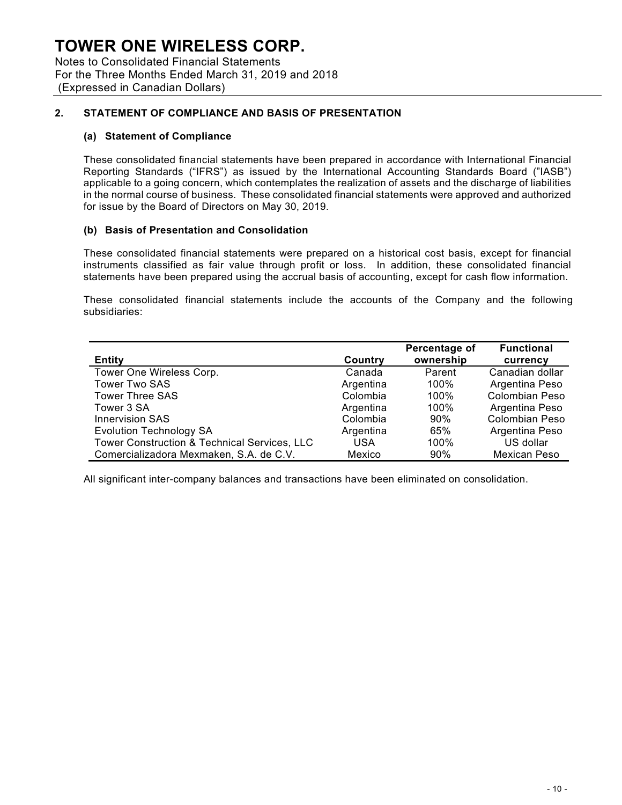Notes to Consolidated Financial Statements For the Three Months Ended March 31, 2019 and 2018 (Expressed in Canadian Dollars)

### **2. STATEMENT OF COMPLIANCE AND BASIS OF PRESENTATION**

#### **(a) Statement of Compliance**

These consolidated financial statements have been prepared in accordance with International Financial Reporting Standards ("IFRS") as issued by the International Accounting Standards Board ("IASB") applicable to a going concern, which contemplates the realization of assets and the discharge of liabilities in the normal course of business. These consolidated financial statements were approved and authorized for issue by the Board of Directors on May 30, 2019.

### **(b) Basis of Presentation and Consolidation**

These consolidated financial statements were prepared on a historical cost basis, except for financial instruments classified as fair value through profit or loss. In addition, these consolidated financial statements have been prepared using the accrual basis of accounting, except for cash flow information.

These consolidated financial statements include the accounts of the Company and the following subsidiaries:

| <b>Entity</b>                                | Country    | Percentage of<br>ownership | <b>Functional</b><br>currency |
|----------------------------------------------|------------|----------------------------|-------------------------------|
| Tower One Wireless Corp.                     | Canada     | Parent                     | Canadian dollar               |
| Tower Two SAS                                | Argentina  | $100\%$                    | Argentina Peso                |
| <b>Tower Three SAS</b>                       | Colombia   | 100%                       | <b>Colombian Peso</b>         |
| Tower 3 SA                                   | Argentina  | 100%                       | Argentina Peso                |
| <b>Innervision SAS</b>                       | Colombia   | 90%                        | <b>Colombian Peso</b>         |
| <b>Evolution Technology SA</b>               | Argentina  | 65%                        | Argentina Peso                |
| Tower Construction & Technical Services, LLC | <b>USA</b> | 100%                       | US dollar                     |
| Comercializadora Mexmaken, S.A. de C.V.      | Mexico     | 90%                        | Mexican Peso                  |

All significant inter-company balances and transactions have been eliminated on consolidation.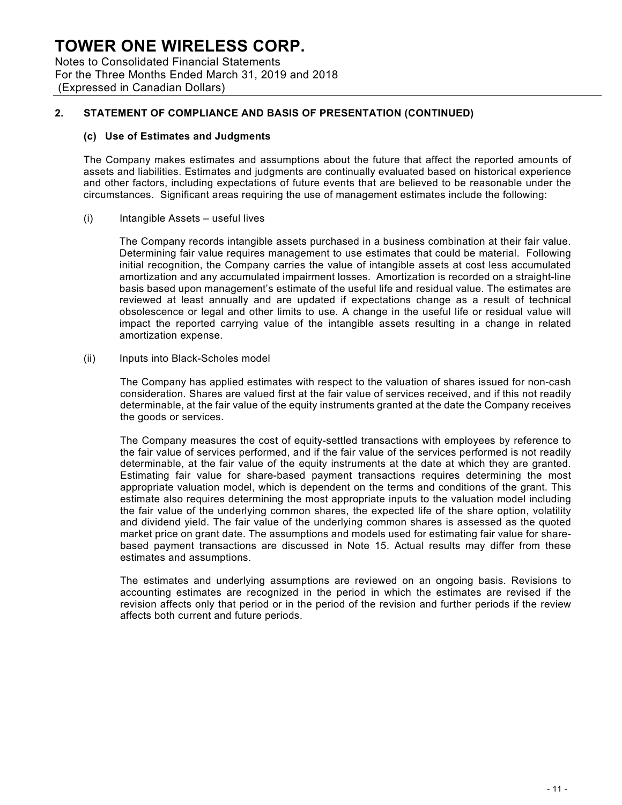Notes to Consolidated Financial Statements For the Three Months Ended March 31, 2019 and 2018 (Expressed in Canadian Dollars)

### **2. STATEMENT OF COMPLIANCE AND BASIS OF PRESENTATION (CONTINUED)**

#### **(c) Use of Estimates and Judgments**

The Company makes estimates and assumptions about the future that affect the reported amounts of assets and liabilities. Estimates and judgments are continually evaluated based on historical experience and other factors, including expectations of future events that are believed to be reasonable under the circumstances. Significant areas requiring the use of management estimates include the following:

#### (i) Intangible Assets – useful lives

The Company records intangible assets purchased in a business combination at their fair value. Determining fair value requires management to use estimates that could be material. Following initial recognition, the Company carries the value of intangible assets at cost less accumulated amortization and any accumulated impairment losses. Amortization is recorded on a straight-line basis based upon management's estimate of the useful life and residual value. The estimates are reviewed at least annually and are updated if expectations change as a result of technical obsolescence or legal and other limits to use. A change in the useful life or residual value will impact the reported carrying value of the intangible assets resulting in a change in related amortization expense.

#### (ii) Inputs into Black-Scholes model

The Company has applied estimates with respect to the valuation of shares issued for non-cash consideration. Shares are valued first at the fair value of services received, and if this not readily determinable, at the fair value of the equity instruments granted at the date the Company receives the goods or services.

The Company measures the cost of equity-settled transactions with employees by reference to the fair value of services performed, and if the fair value of the services performed is not readily determinable, at the fair value of the equity instruments at the date at which they are granted. Estimating fair value for share-based payment transactions requires determining the most appropriate valuation model, which is dependent on the terms and conditions of the grant. This estimate also requires determining the most appropriate inputs to the valuation model including the fair value of the underlying common shares, the expected life of the share option, volatility and dividend yield. The fair value of the underlying common shares is assessed as the quoted market price on grant date. The assumptions and models used for estimating fair value for sharebased payment transactions are discussed in Note 15. Actual results may differ from these estimates and assumptions.

The estimates and underlying assumptions are reviewed on an ongoing basis. Revisions to accounting estimates are recognized in the period in which the estimates are revised if the revision affects only that period or in the period of the revision and further periods if the review affects both current and future periods.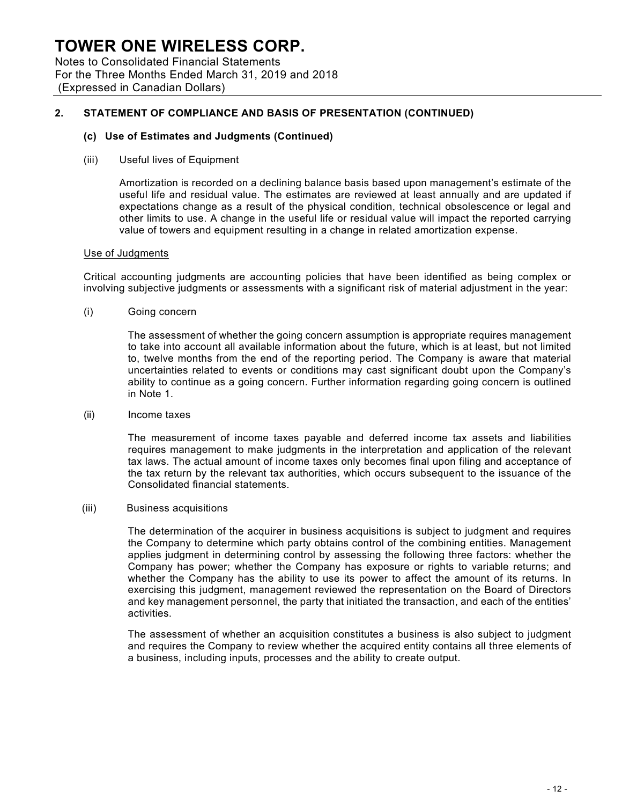Notes to Consolidated Financial Statements For the Three Months Ended March 31, 2019 and 2018 (Expressed in Canadian Dollars)

#### **2. STATEMENT OF COMPLIANCE AND BASIS OF PRESENTATION (CONTINUED)**

#### **(c) Use of Estimates and Judgments (Continued)**

(iii) Useful lives of Equipment

Amortization is recorded on a declining balance basis based upon management's estimate of the useful life and residual value. The estimates are reviewed at least annually and are updated if expectations change as a result of the physical condition, technical obsolescence or legal and other limits to use. A change in the useful life or residual value will impact the reported carrying value of towers and equipment resulting in a change in related amortization expense.

#### Use of Judgments

Critical accounting judgments are accounting policies that have been identified as being complex or involving subjective judgments or assessments with a significant risk of material adjustment in the year:

(i) Going concern

The assessment of whether the going concern assumption is appropriate requires management to take into account all available information about the future, which is at least, but not limited to, twelve months from the end of the reporting period. The Company is aware that material uncertainties related to events or conditions may cast significant doubt upon the Company's ability to continue as a going concern. Further information regarding going concern is outlined in Note 1.

(ii) Income taxes

The measurement of income taxes payable and deferred income tax assets and liabilities requires management to make judgments in the interpretation and application of the relevant tax laws. The actual amount of income taxes only becomes final upon filing and acceptance of the tax return by the relevant tax authorities, which occurs subsequent to the issuance of the Consolidated financial statements.

(iii) Business acquisitions

The determination of the acquirer in business acquisitions is subject to judgment and requires the Company to determine which party obtains control of the combining entities. Management applies judgment in determining control by assessing the following three factors: whether the Company has power; whether the Company has exposure or rights to variable returns; and whether the Company has the ability to use its power to affect the amount of its returns. In exercising this judgment, management reviewed the representation on the Board of Directors and key management personnel, the party that initiated the transaction, and each of the entities' activities.

The assessment of whether an acquisition constitutes a business is also subject to judgment and requires the Company to review whether the acquired entity contains all three elements of a business, including inputs, processes and the ability to create output.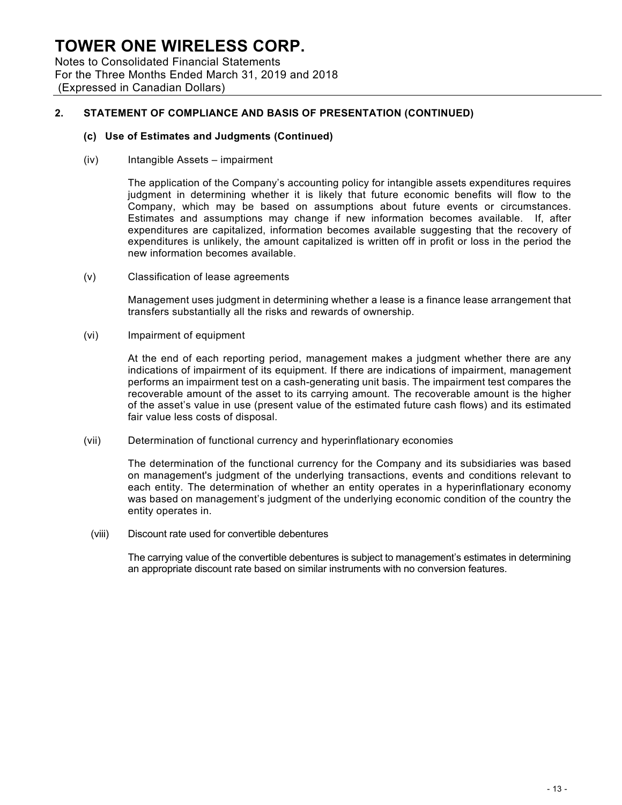Notes to Consolidated Financial Statements For the Three Months Ended March 31, 2019 and 2018 (Expressed in Canadian Dollars)

### **2. STATEMENT OF COMPLIANCE AND BASIS OF PRESENTATION (CONTINUED)**

#### **(c) Use of Estimates and Judgments (Continued)**

(iv) Intangible Assets – impairment

The application of the Company's accounting policy for intangible assets expenditures requires judgment in determining whether it is likely that future economic benefits will flow to the Company, which may be based on assumptions about future events or circumstances. Estimates and assumptions may change if new information becomes available. If, after expenditures are capitalized, information becomes available suggesting that the recovery of expenditures is unlikely, the amount capitalized is written off in profit or loss in the period the new information becomes available.

(v) Classification of lease agreements

Management uses judgment in determining whether a lease is a finance lease arrangement that transfers substantially all the risks and rewards of ownership.

(vi) Impairment of equipment

At the end of each reporting period, management makes a judgment whether there are any indications of impairment of its equipment. If there are indications of impairment, management performs an impairment test on a cash-generating unit basis. The impairment test compares the recoverable amount of the asset to its carrying amount. The recoverable amount is the higher of the asset's value in use (present value of the estimated future cash flows) and its estimated fair value less costs of disposal.

(vii) Determination of functional currency and hyperinflationary economies

The determination of the functional currency for the Company and its subsidiaries was based on management's judgment of the underlying transactions, events and conditions relevant to each entity. The determination of whether an entity operates in a hyperinflationary economy was based on management's judgment of the underlying economic condition of the country the entity operates in.

(viii) Discount rate used for convertible debentures

The carrying value of the convertible debentures is subject to management's estimates in determining an appropriate discount rate based on similar instruments with no conversion features.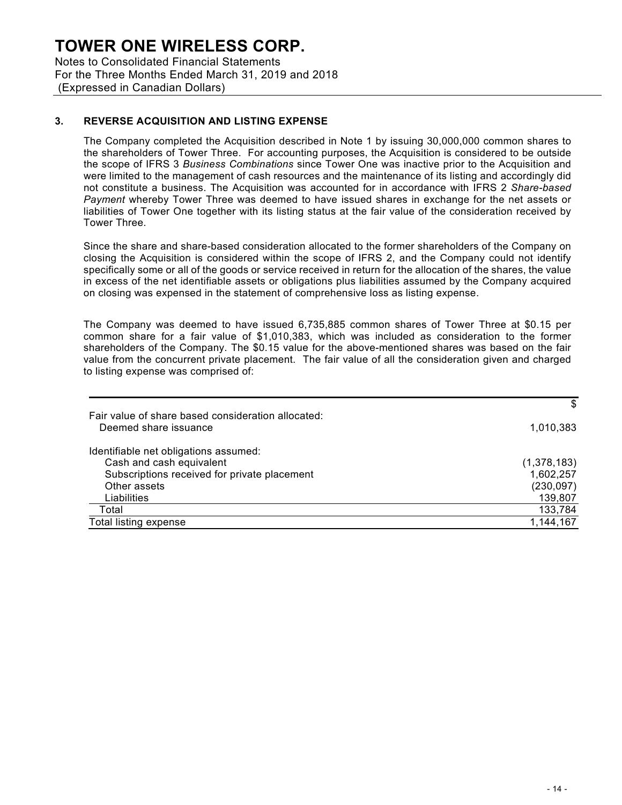Notes to Consolidated Financial Statements For the Three Months Ended March 31, 2019 and 2018 (Expressed in Canadian Dollars)

#### **3. REVERSE ACQUISITION AND LISTING EXPENSE**

The Company completed the Acquisition described in Note 1 by issuing 30,000,000 common shares to the shareholders of Tower Three. For accounting purposes, the Acquisition is considered to be outside the scope of IFRS 3 *Business Combinations* since Tower One was inactive prior to the Acquisition and were limited to the management of cash resources and the maintenance of its listing and accordingly did not constitute a business. The Acquisition was accounted for in accordance with IFRS 2 *Share-based Payment* whereby Tower Three was deemed to have issued shares in exchange for the net assets or liabilities of Tower One together with its listing status at the fair value of the consideration received by Tower Three.

Since the share and share-based consideration allocated to the former shareholders of the Company on closing the Acquisition is considered within the scope of IFRS 2, and the Company could not identify specifically some or all of the goods or service received in return for the allocation of the shares, the value in excess of the net identifiable assets or obligations plus liabilities assumed by the Company acquired on closing was expensed in the statement of comprehensive loss as listing expense.

The Company was deemed to have issued 6,735,885 common shares of Tower Three at \$0.15 per common share for a fair value of \$1,010,383, which was included as consideration to the former shareholders of the Company. The \$0.15 value for the above-mentioned shares was based on the fair value from the concurrent private placement. The fair value of all the consideration given and charged to listing expense was comprised of:

|                                                                             | \$          |
|-----------------------------------------------------------------------------|-------------|
| Fair value of share based consideration allocated:<br>Deemed share issuance | 1,010,383   |
| Identifiable net obligations assumed:                                       |             |
| Cash and cash equivalent                                                    | (1,378,183) |
| Subscriptions received for private placement                                | 1,602,257   |
| Other assets                                                                | (230, 097)  |
| Liabilities                                                                 | 139,807     |
| Total                                                                       | 133,784     |
| Total listing expense                                                       | 1,144,167   |
|                                                                             |             |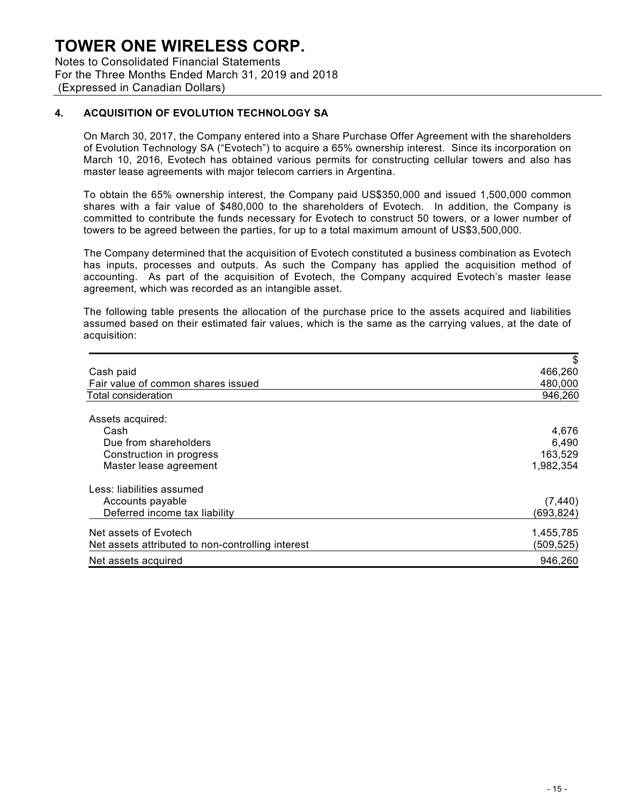Notes to Consolidated Financial Statements For the Three Months Ended March 31, 2019 and 2018 (Expressed in Canadian Dollars)

### **4. ACQUISITION OF EVOLUTION TECHNOLOGY SA**

On March 30, 2017, the Company entered into a Share Purchase Offer Agreement with the shareholders of Evolution Technology SA ("Evotech") to acquire a 65% ownership interest. Since its incorporation on March 10, 2016, Evotech has obtained various permits for constructing cellular towers and also has master lease agreements with major telecom carriers in Argentina.

To obtain the 65% ownership interest, the Company paid US\$350,000 and issued 1,500,000 common shares with a fair value of \$480,000 to the shareholders of Evotech. In addition, the Company is committed to contribute the funds necessary for Evotech to construct 50 towers, or a lower number of towers to be agreed between the parties, for up to a total maximum amount of US\$3,500,000.

The Company determined that the acquisition of Evotech constituted a business combination as Evotech has inputs, processes and outputs. As such the Company has applied the acquisition method of accounting. As part of the acquisition of Evotech, the Company acquired Evotech's master lease agreement, which was recorded as an intangible asset.

The following table presents the allocation of the purchase price to the assets acquired and liabilities assumed based on their estimated fair values, which is the same as the carrying values, at the date of acquisition:

|                                                   | \$         |
|---------------------------------------------------|------------|
| Cash paid                                         | 466,260    |
| Fair value of common shares issued                | 480,000    |
| Total consideration                               | 946,260    |
| Assets acquired:                                  |            |
| Cash                                              | 4,676      |
| Due from shareholders                             | 6,490      |
| Construction in progress                          | 163,529    |
| Master lease agreement                            | 1,982,354  |
| Less: liabilities assumed                         |            |
| Accounts payable                                  | (7, 440)   |
| Deferred income tax liability                     | (693, 824) |
| Net assets of Evotech                             | 1,455,785  |
| Net assets attributed to non-controlling interest | (509,525)  |
| Net assets acquired                               | 946,260    |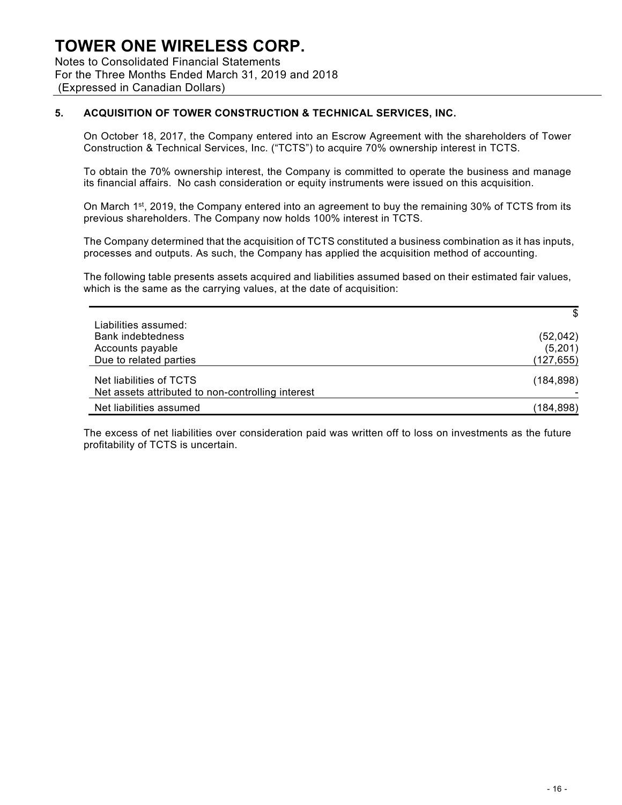Notes to Consolidated Financial Statements For the Three Months Ended March 31, 2019 and 2018 (Expressed in Canadian Dollars)

### **5. ACQUISITION OF TOWER CONSTRUCTION & TECHNICAL SERVICES, INC.**

On October 18, 2017, the Company entered into an Escrow Agreement with the shareholders of Tower Construction & Technical Services, Inc. ("TCTS") to acquire 70% ownership interest in TCTS.

To obtain the 70% ownership interest, the Company is committed to operate the business and manage its financial affairs. No cash consideration or equity instruments were issued on this acquisition.

On March 1<sup>st</sup>, 2019, the Company entered into an agreement to buy the remaining 30% of TCTS from its previous shareholders. The Company now holds 100% interest in TCTS.

The Company determined that the acquisition of TCTS constituted a business combination as it has inputs, processes and outputs. As such, the Company has applied the acquisition method of accounting.

The following table presents assets acquired and liabilities assumed based on their estimated fair values, which is the same as the carrying values, at the date of acquisition:

|                                                                              | \$         |
|------------------------------------------------------------------------------|------------|
| Liabilities assumed:                                                         |            |
| Bank indebtedness                                                            | (52, 042)  |
| Accounts payable                                                             | (5,201)    |
| Due to related parties                                                       | (127,655)  |
| Net liabilities of TCTS<br>Net assets attributed to non-controlling interest | (184, 898) |
| Net liabilities assumed                                                      | (184,898)  |

The excess of net liabilities over consideration paid was written off to loss on investments as the future profitability of TCTS is uncertain.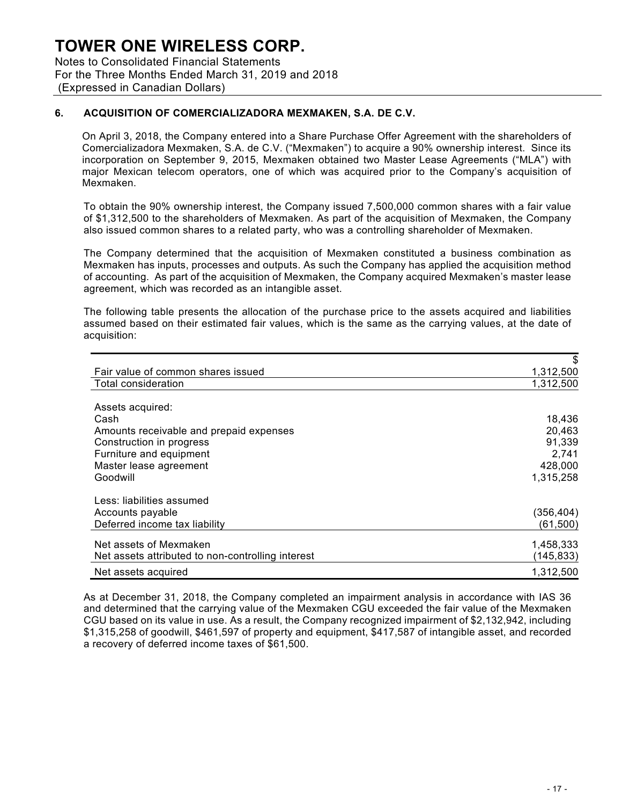Notes to Consolidated Financial Statements For the Three Months Ended March 31, 2019 and 2018 (Expressed in Canadian Dollars)

### **6. ACQUISITION OF COMERCIALIZADORA MEXMAKEN, S.A. DE C.V.**

On April 3, 2018, the Company entered into a Share Purchase Offer Agreement with the shareholders of Comercializadora Mexmaken, S.A. de C.V. ("Mexmaken") to acquire a 90% ownership interest. Since its incorporation on September 9, 2015, Mexmaken obtained two Master Lease Agreements ("MLA") with major Mexican telecom operators, one of which was acquired prior to the Company's acquisition of Mexmaken.

To obtain the 90% ownership interest, the Company issued 7,500,000 common shares with a fair value of \$1,312,500 to the shareholders of Mexmaken. As part of the acquisition of Mexmaken, the Company also issued common shares to a related party, who was a controlling shareholder of Mexmaken.

The Company determined that the acquisition of Mexmaken constituted a business combination as Mexmaken has inputs, processes and outputs. As such the Company has applied the acquisition method of accounting. As part of the acquisition of Mexmaken, the Company acquired Mexmaken's master lease agreement, which was recorded as an intangible asset.

The following table presents the allocation of the purchase price to the assets acquired and liabilities assumed based on their estimated fair values, which is the same as the carrying values, at the date of acquisition:

|                                                   | \$         |
|---------------------------------------------------|------------|
| Fair value of common shares issued                | 1,312,500  |
| Total consideration                               | 1,312,500  |
|                                                   |            |
| Assets acquired:                                  |            |
| Cash                                              | 18,436     |
| Amounts receivable and prepaid expenses           | 20,463     |
| Construction in progress                          | 91,339     |
| Furniture and equipment                           | 2,741      |
| Master lease agreement                            | 428,000    |
| Goodwill                                          | 1,315,258  |
| Less: liabilities assumed                         |            |
| Accounts payable                                  | (356, 404) |
| Deferred income tax liability                     | (61, 500)  |
| Net assets of Mexmaken                            | 1,458,333  |
| Net assets attributed to non-controlling interest | (145, 833) |
| Net assets acquired                               | 1,312,500  |

As at December 31, 2018, the Company completed an impairment analysis in accordance with IAS 36 and determined that the carrying value of the Mexmaken CGU exceeded the fair value of the Mexmaken CGU based on its value in use. As a result, the Company recognized impairment of \$2,132,942, including \$1,315,258 of goodwill, \$461,597 of property and equipment, \$417,587 of intangible asset, and recorded a recovery of deferred income taxes of \$61,500.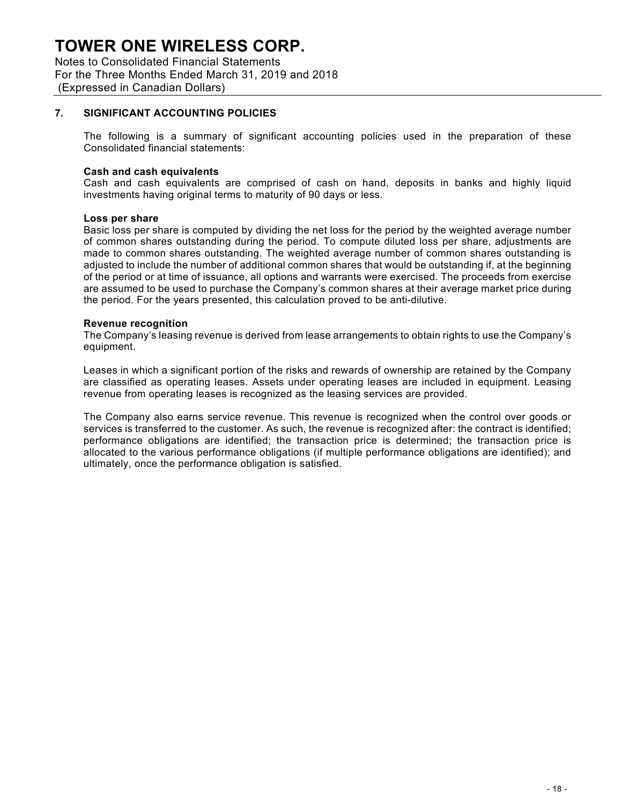Notes to Consolidated Financial Statements For the Three Months Ended March 31, 2019 and 2018 (Expressed in Canadian Dollars)

### **7. SIGNIFICANT ACCOUNTING POLICIES**

The following is a summary of significant accounting policies used in the preparation of these Consolidated financial statements:

#### **Cash and cash equivalents**

Cash and cash equivalents are comprised of cash on hand, deposits in banks and highly liquid investments having original terms to maturity of 90 days or less.

#### **Loss per share**

Basic loss per share is computed by dividing the net loss for the period by the weighted average number of common shares outstanding during the period. To compute diluted loss per share, adjustments are made to common shares outstanding. The weighted average number of common shares outstanding is adjusted to include the number of additional common shares that would be outstanding if, at the beginning of the period or at time of issuance, all options and warrants were exercised. The proceeds from exercise are assumed to be used to purchase the Company's common shares at their average market price during the period. For the years presented, this calculation proved to be anti-dilutive.

#### **Revenue recognition**

The Company's leasing revenue is derived from lease arrangements to obtain rights to use the Company's equipment.

Leases in which a significant portion of the risks and rewards of ownership are retained by the Company are classified as operating leases. Assets under operating leases are included in equipment. Leasing revenue from operating leases is recognized as the leasing services are provided.

The Company also earns service revenue. This revenue is recognized when the control over goods or services is transferred to the customer. As such, the revenue is recognized after: the contract is identified; performance obligations are identified; the transaction price is determined; the transaction price is allocated to the various performance obligations (if multiple performance obligations are identified); and ultimately, once the performance obligation is satisfied.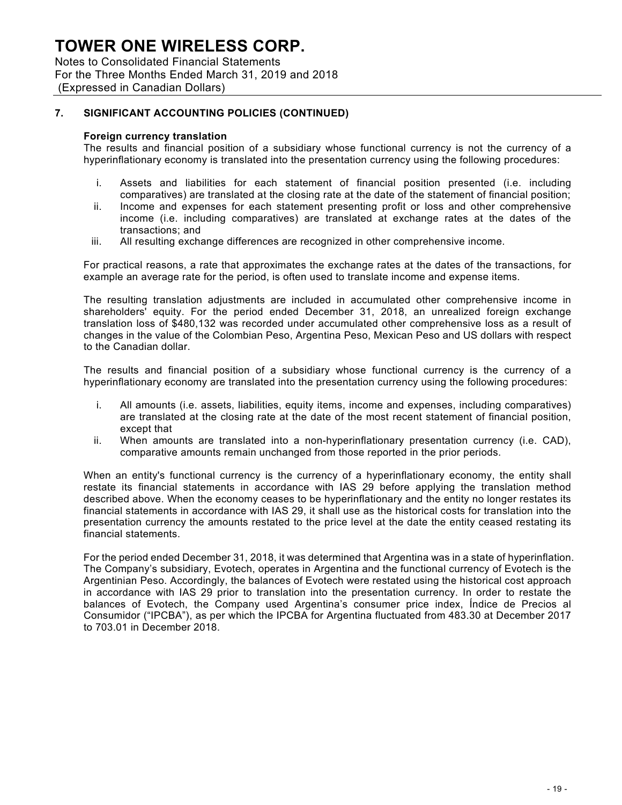Notes to Consolidated Financial Statements For the Three Months Ended March 31, 2019 and 2018 (Expressed in Canadian Dollars)

### **7. SIGNIFICANT ACCOUNTING POLICIES (CONTINUED)**

#### **Foreign currency translation**

The results and financial position of a subsidiary whose functional currency is not the currency of a hyperinflationary economy is translated into the presentation currency using the following procedures:

- i. Assets and liabilities for each statement of financial position presented (i.e. including comparatives) are translated at the closing rate at the date of the statement of financial position;
- ii. Income and expenses for each statement presenting profit or loss and other comprehensive income (i.e. including comparatives) are translated at exchange rates at the dates of the transactions; and
- iii. All resulting exchange differences are recognized in other comprehensive income.

For practical reasons, a rate that approximates the exchange rates at the dates of the transactions, for example an average rate for the period, is often used to translate income and expense items.

The resulting translation adjustments are included in accumulated other comprehensive income in shareholders' equity. For the period ended December 31, 2018, an unrealized foreign exchange translation loss of \$480,132 was recorded under accumulated other comprehensive loss as a result of changes in the value of the Colombian Peso, Argentina Peso, Mexican Peso and US dollars with respect to the Canadian dollar.

The results and financial position of a subsidiary whose functional currency is the currency of a hyperinflationary economy are translated into the presentation currency using the following procedures:

- i. All amounts (i.e. assets, liabilities, equity items, income and expenses, including comparatives) are translated at the closing rate at the date of the most recent statement of financial position, except that
- ii. When amounts are translated into a non-hyperinflationary presentation currency (i.e. CAD), comparative amounts remain unchanged from those reported in the prior periods.

When an entity's functional currency is the currency of a hyperinflationary economy, the entity shall restate its financial statements in accordance with IAS 29 before applying the translation method described above. When the economy ceases to be hyperinflationary and the entity no longer restates its financial statements in accordance with IAS 29, it shall use as the historical costs for translation into the presentation currency the amounts restated to the price level at the date the entity ceased restating its financial statements.

For the period ended December 31, 2018, it was determined that Argentina was in a state of hyperinflation. The Company's subsidiary, Evotech, operates in Argentina and the functional currency of Evotech is the Argentinian Peso. Accordingly, the balances of Evotech were restated using the historical cost approach in accordance with IAS 29 prior to translation into the presentation currency. In order to restate the balances of Evotech, the Company used Argentina's consumer price index, Índice de Precios al Consumidor ("IPCBA"), as per which the IPCBA for Argentina fluctuated from 483.30 at December 2017 to 703.01 in December 2018.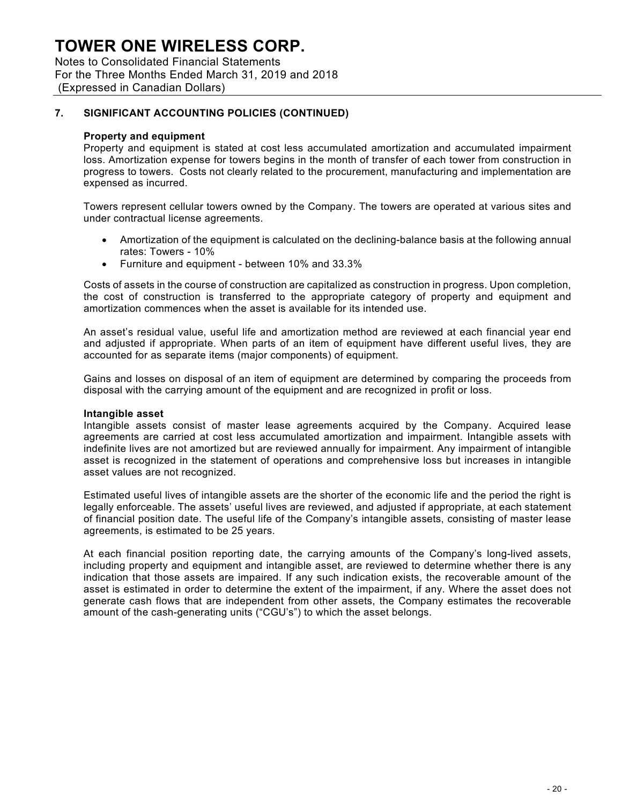Notes to Consolidated Financial Statements For the Three Months Ended March 31, 2019 and 2018 (Expressed in Canadian Dollars)

### **7. SIGNIFICANT ACCOUNTING POLICIES (CONTINUED)**

#### **Property and equipment**

Property and equipment is stated at cost less accumulated amortization and accumulated impairment loss. Amortization expense for towers begins in the month of transfer of each tower from construction in progress to towers. Costs not clearly related to the procurement, manufacturing and implementation are expensed as incurred.

Towers represent cellular towers owned by the Company. The towers are operated at various sites and under contractual license agreements.

- Amortization of the equipment is calculated on the declining-balance basis at the following annual rates: Towers - 10%
- Furniture and equipment between 10% and 33.3%

Costs of assets in the course of construction are capitalized as construction in progress. Upon completion, the cost of construction is transferred to the appropriate category of property and equipment and amortization commences when the asset is available for its intended use.

An asset's residual value, useful life and amortization method are reviewed at each financial year end and adjusted if appropriate. When parts of an item of equipment have different useful lives, they are accounted for as separate items (major components) of equipment.

Gains and losses on disposal of an item of equipment are determined by comparing the proceeds from disposal with the carrying amount of the equipment and are recognized in profit or loss.

#### **Intangible asset**

Intangible assets consist of master lease agreements acquired by the Company. Acquired lease agreements are carried at cost less accumulated amortization and impairment. Intangible assets with indefinite lives are not amortized but are reviewed annually for impairment. Any impairment of intangible asset is recognized in the statement of operations and comprehensive loss but increases in intangible asset values are not recognized.

Estimated useful lives of intangible assets are the shorter of the economic life and the period the right is legally enforceable. The assets' useful lives are reviewed, and adjusted if appropriate, at each statement of financial position date. The useful life of the Company's intangible assets, consisting of master lease agreements, is estimated to be 25 years.

At each financial position reporting date, the carrying amounts of the Company's long-lived assets, including property and equipment and intangible asset, are reviewed to determine whether there is any indication that those assets are impaired. If any such indication exists, the recoverable amount of the asset is estimated in order to determine the extent of the impairment, if any. Where the asset does not generate cash flows that are independent from other assets, the Company estimates the recoverable amount of the cash-generating units ("CGU's") to which the asset belongs.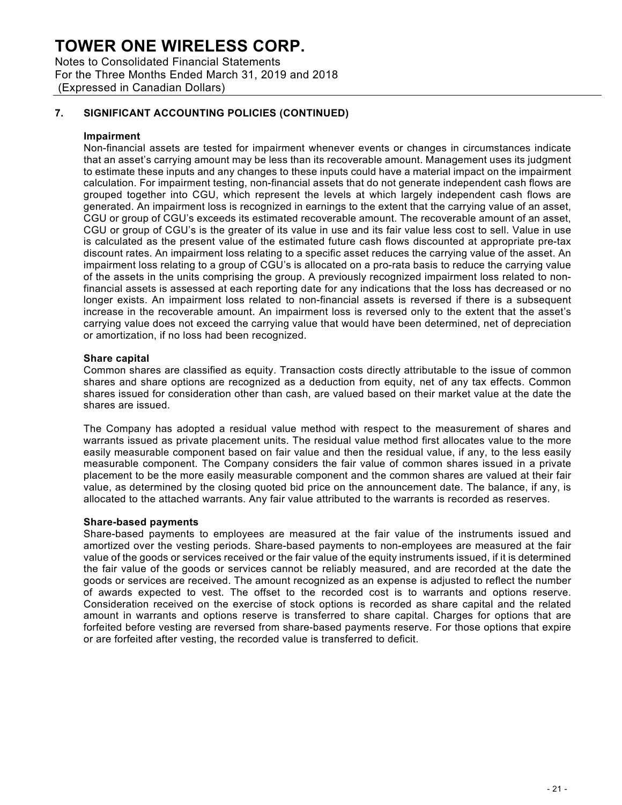Notes to Consolidated Financial Statements For the Three Months Ended March 31, 2019 and 2018 (Expressed in Canadian Dollars)

### **7. SIGNIFICANT ACCOUNTING POLICIES (CONTINUED)**

#### **Impairment**

Non-financial assets are tested for impairment whenever events or changes in circumstances indicate that an asset's carrying amount may be less than its recoverable amount. Management uses its judgment to estimate these inputs and any changes to these inputs could have a material impact on the impairment calculation. For impairment testing, non-financial assets that do not generate independent cash flows are grouped together into CGU, which represent the levels at which largely independent cash flows are generated. An impairment loss is recognized in earnings to the extent that the carrying value of an asset, CGU or group of CGU's exceeds its estimated recoverable amount. The recoverable amount of an asset, CGU or group of CGU's is the greater of its value in use and its fair value less cost to sell. Value in use is calculated as the present value of the estimated future cash flows discounted at appropriate pre-tax discount rates. An impairment loss relating to a specific asset reduces the carrying value of the asset. An impairment loss relating to a group of CGU's is allocated on a pro-rata basis to reduce the carrying value of the assets in the units comprising the group. A previously recognized impairment loss related to nonfinancial assets is assessed at each reporting date for any indications that the loss has decreased or no longer exists. An impairment loss related to non-financial assets is reversed if there is a subsequent increase in the recoverable amount. An impairment loss is reversed only to the extent that the asset's carrying value does not exceed the carrying value that would have been determined, net of depreciation or amortization, if no loss had been recognized.

### **Share capital**

Common shares are classified as equity. Transaction costs directly attributable to the issue of common shares and share options are recognized as a deduction from equity, net of any tax effects. Common shares issued for consideration other than cash, are valued based on their market value at the date the shares are issued.

The Company has adopted a residual value method with respect to the measurement of shares and warrants issued as private placement units. The residual value method first allocates value to the more easily measurable component based on fair value and then the residual value, if any, to the less easily measurable component. The Company considers the fair value of common shares issued in a private placement to be the more easily measurable component and the common shares are valued at their fair value, as determined by the closing quoted bid price on the announcement date. The balance, if any, is allocated to the attached warrants. Any fair value attributed to the warrants is recorded as reserves.

#### **Share-based payments**

Share-based payments to employees are measured at the fair value of the instruments issued and amortized over the vesting periods. Share-based payments to non-employees are measured at the fair value of the goods or services received or the fair value of the equity instruments issued, if it is determined the fair value of the goods or services cannot be reliably measured, and are recorded at the date the goods or services are received. The amount recognized as an expense is adjusted to reflect the number of awards expected to vest. The offset to the recorded cost is to warrants and options reserve. Consideration received on the exercise of stock options is recorded as share capital and the related amount in warrants and options reserve is transferred to share capital. Charges for options that are forfeited before vesting are reversed from share-based payments reserve. For those options that expire or are forfeited after vesting, the recorded value is transferred to deficit.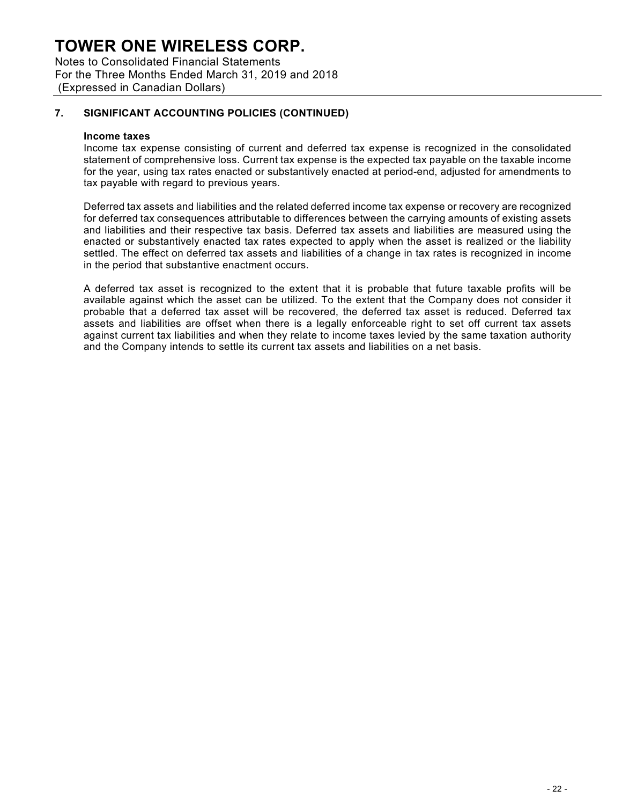Notes to Consolidated Financial Statements For the Three Months Ended March 31, 2019 and 2018 (Expressed in Canadian Dollars)

### **7. SIGNIFICANT ACCOUNTING POLICIES (CONTINUED)**

#### **Income taxes**

Income tax expense consisting of current and deferred tax expense is recognized in the consolidated statement of comprehensive loss. Current tax expense is the expected tax payable on the taxable income for the year, using tax rates enacted or substantively enacted at period-end, adjusted for amendments to tax payable with regard to previous years.

Deferred tax assets and liabilities and the related deferred income tax expense or recovery are recognized for deferred tax consequences attributable to differences between the carrying amounts of existing assets and liabilities and their respective tax basis. Deferred tax assets and liabilities are measured using the enacted or substantively enacted tax rates expected to apply when the asset is realized or the liability settled. The effect on deferred tax assets and liabilities of a change in tax rates is recognized in income in the period that substantive enactment occurs.

A deferred tax asset is recognized to the extent that it is probable that future taxable profits will be available against which the asset can be utilized. To the extent that the Company does not consider it probable that a deferred tax asset will be recovered, the deferred tax asset is reduced. Deferred tax assets and liabilities are offset when there is a legally enforceable right to set off current tax assets against current tax liabilities and when they relate to income taxes levied by the same taxation authority and the Company intends to settle its current tax assets and liabilities on a net basis.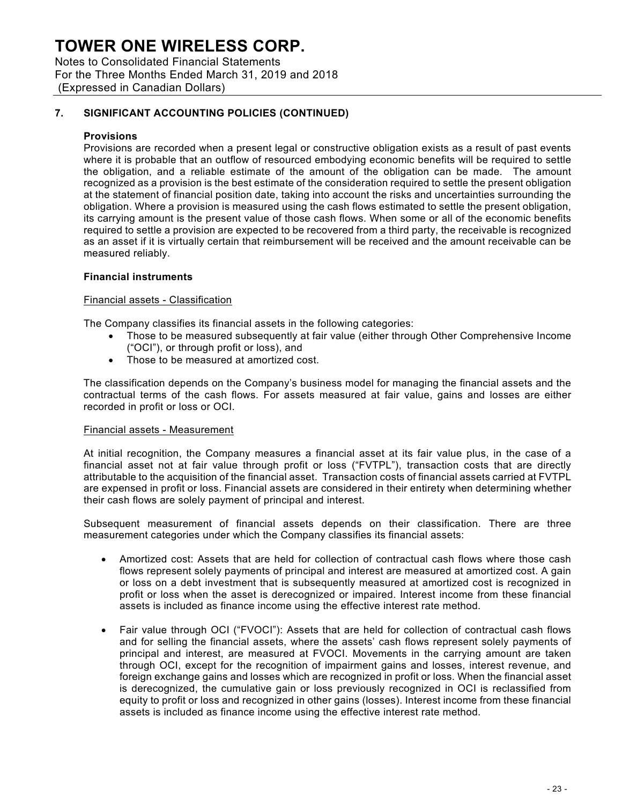Notes to Consolidated Financial Statements For the Three Months Ended March 31, 2019 and 2018 (Expressed in Canadian Dollars)

### **7. SIGNIFICANT ACCOUNTING POLICIES (CONTINUED)**

#### **Provisions**

Provisions are recorded when a present legal or constructive obligation exists as a result of past events where it is probable that an outflow of resourced embodying economic benefits will be required to settle the obligation, and a reliable estimate of the amount of the obligation can be made. The amount recognized as a provision is the best estimate of the consideration required to settle the present obligation at the statement of financial position date, taking into account the risks and uncertainties surrounding the obligation. Where a provision is measured using the cash flows estimated to settle the present obligation, its carrying amount is the present value of those cash flows. When some or all of the economic benefits required to settle a provision are expected to be recovered from a third party, the receivable is recognized as an asset if it is virtually certain that reimbursement will be received and the amount receivable can be measured reliably.

### **Financial instruments**

#### Financial assets - Classification

The Company classifies its financial assets in the following categories:

- Those to be measured subsequently at fair value (either through Other Comprehensive Income ("OCI"), or through profit or loss), and
- Those to be measured at amortized cost.

The classification depends on the Company's business model for managing the financial assets and the contractual terms of the cash flows. For assets measured at fair value, gains and losses are either recorded in profit or loss or OCI.

#### Financial assets - Measurement

At initial recognition, the Company measures a financial asset at its fair value plus, in the case of a financial asset not at fair value through profit or loss ("FVTPL"), transaction costs that are directly attributable to the acquisition of the financial asset. Transaction costs of financial assets carried at FVTPL are expensed in profit or loss. Financial assets are considered in their entirety when determining whether their cash flows are solely payment of principal and interest.

Subsequent measurement of financial assets depends on their classification. There are three measurement categories under which the Company classifies its financial assets:

- Amortized cost: Assets that are held for collection of contractual cash flows where those cash flows represent solely payments of principal and interest are measured at amortized cost. A gain or loss on a debt investment that is subsequently measured at amortized cost is recognized in profit or loss when the asset is derecognized or impaired. Interest income from these financial assets is included as finance income using the effective interest rate method.
- Fair value through OCI ("FVOCI"): Assets that are held for collection of contractual cash flows and for selling the financial assets, where the assets' cash flows represent solely payments of principal and interest, are measured at FVOCI. Movements in the carrying amount are taken through OCI, except for the recognition of impairment gains and losses, interest revenue, and foreign exchange gains and losses which are recognized in profit or loss. When the financial asset is derecognized, the cumulative gain or loss previously recognized in OCI is reclassified from equity to profit or loss and recognized in other gains (losses). Interest income from these financial assets is included as finance income using the effective interest rate method.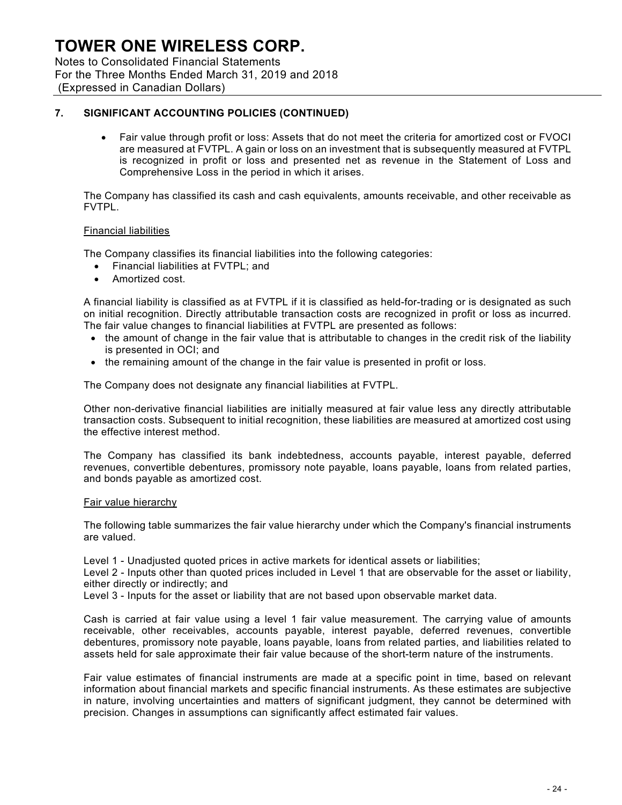Notes to Consolidated Financial Statements For the Three Months Ended March 31, 2019 and 2018 (Expressed in Canadian Dollars)

### **7. SIGNIFICANT ACCOUNTING POLICIES (CONTINUED)**

• Fair value through profit or loss: Assets that do not meet the criteria for amortized cost or FVOCI are measured at FVTPL. A gain or loss on an investment that is subsequently measured at FVTPL is recognized in profit or loss and presented net as revenue in the Statement of Loss and Comprehensive Loss in the period in which it arises.

The Company has classified its cash and cash equivalents, amounts receivable, and other receivable as FVTPL.

### Financial liabilities

The Company classifies its financial liabilities into the following categories:

- Financial liabilities at FVTPL; and
- Amortized cost.

A financial liability is classified as at FVTPL if it is classified as held-for-trading or is designated as such on initial recognition. Directly attributable transaction costs are recognized in profit or loss as incurred. The fair value changes to financial liabilities at FVTPL are presented as follows:

- the amount of change in the fair value that is attributable to changes in the credit risk of the liability is presented in OCI; and
- the remaining amount of the change in the fair value is presented in profit or loss.

The Company does not designate any financial liabilities at FVTPL.

Other non-derivative financial liabilities are initially measured at fair value less any directly attributable transaction costs. Subsequent to initial recognition, these liabilities are measured at amortized cost using the effective interest method.

The Company has classified its bank indebtedness, accounts payable, interest payable, deferred revenues, convertible debentures, promissory note payable, loans payable, loans from related parties, and bonds payable as amortized cost.

#### Fair value hierarchy

The following table summarizes the fair value hierarchy under which the Company's financial instruments are valued.

Level 1 - Unadjusted quoted prices in active markets for identical assets or liabilities;

Level 2 - Inputs other than quoted prices included in Level 1 that are observable for the asset or liability, either directly or indirectly; and

Level 3 - Inputs for the asset or liability that are not based upon observable market data.

Cash is carried at fair value using a level 1 fair value measurement. The carrying value of amounts receivable, other receivables, accounts payable, interest payable, deferred revenues, convertible debentures, promissory note payable, loans payable, loans from related parties, and liabilities related to assets held for sale approximate their fair value because of the short-term nature of the instruments.

Fair value estimates of financial instruments are made at a specific point in time, based on relevant information about financial markets and specific financial instruments. As these estimates are subjective in nature, involving uncertainties and matters of significant judgment, they cannot be determined with precision. Changes in assumptions can significantly affect estimated fair values.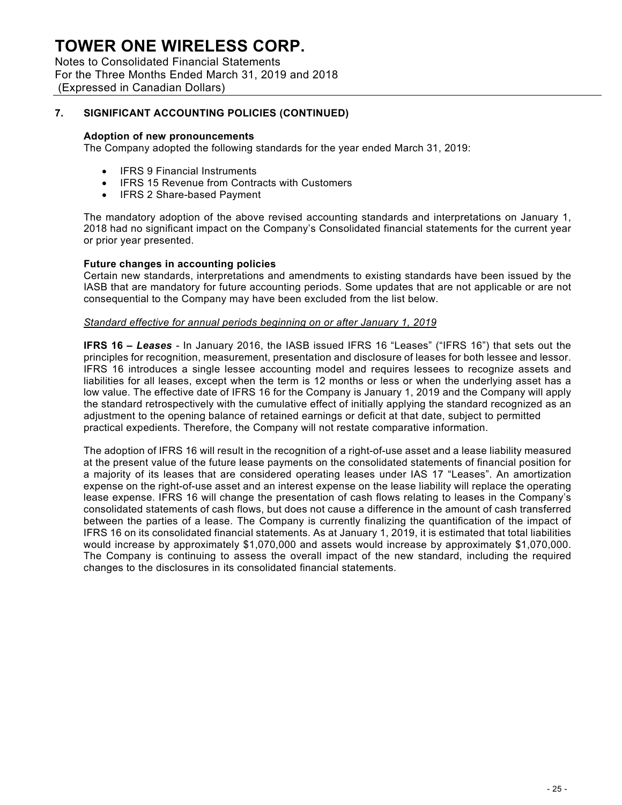Notes to Consolidated Financial Statements For the Three Months Ended March 31, 2019 and 2018 (Expressed in Canadian Dollars)

### **7. SIGNIFICANT ACCOUNTING POLICIES (CONTINUED)**

#### **Adoption of new pronouncements**

The Company adopted the following standards for the year ended March 31, 2019:

- IFRS 9 Financial Instruments
- IFRS 15 Revenue from Contracts with Customers
- IFRS 2 Share-based Payment

The mandatory adoption of the above revised accounting standards and interpretations on January 1, 2018 had no significant impact on the Company's Consolidated financial statements for the current year or prior year presented.

#### **Future changes in accounting policies**

Certain new standards, interpretations and amendments to existing standards have been issued by the IASB that are mandatory for future accounting periods. Some updates that are not applicable or are not consequential to the Company may have been excluded from the list below.

#### *Standard effective for annual periods beginning on or after January 1, 2019*

**IFRS 16** *– Leases -* In January 2016, the IASB issued IFRS 16 "Leases" ("IFRS 16") that sets out the principles for recognition, measurement, presentation and disclosure of leases for both lessee and lessor. IFRS 16 introduces a single lessee accounting model and requires lessees to recognize assets and liabilities for all leases, except when the term is 12 months or less or when the underlying asset has a low value. The effective date of IFRS 16 for the Company is January 1, 2019 and the Company will apply the standard retrospectively with the cumulative effect of initially applying the standard recognized as an adjustment to the opening balance of retained earnings or deficit at that date, subject to permitted practical expedients. Therefore, the Company will not restate comparative information.

The adoption of IFRS 16 will result in the recognition of a right-of-use asset and a lease liability measured at the present value of the future lease payments on the consolidated statements of financial position for a majority of its leases that are considered operating leases under IAS 17 "Leases". An amortization expense on the right-of-use asset and an interest expense on the lease liability will replace the operating lease expense. IFRS 16 will change the presentation of cash flows relating to leases in the Company's consolidated statements of cash flows, but does not cause a difference in the amount of cash transferred between the parties of a lease. The Company is currently finalizing the quantification of the impact of IFRS 16 on its consolidated financial statements. As at January 1, 2019, it is estimated that total liabilities would increase by approximately \$1,070,000 and assets would increase by approximately \$1,070,000. The Company is continuing to assess the overall impact of the new standard, including the required changes to the disclosures in its consolidated financial statements.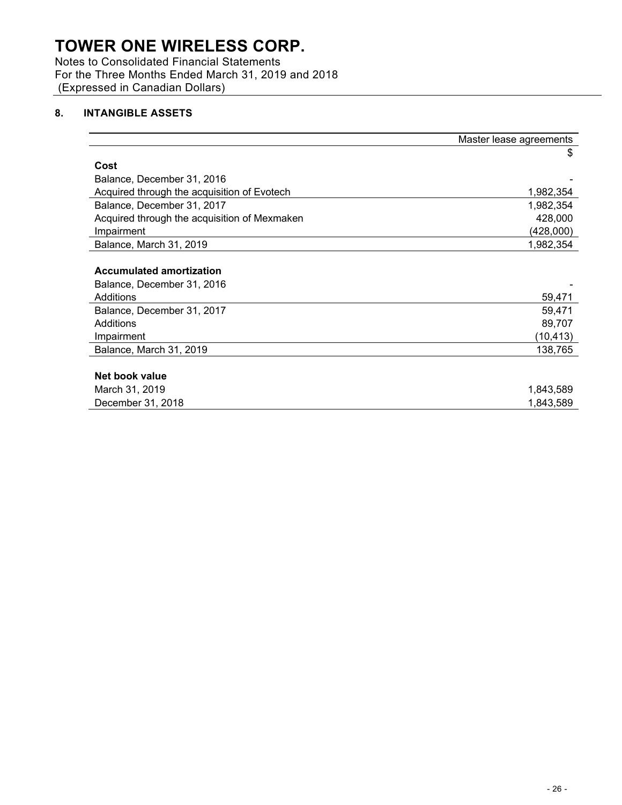Notes to Consolidated Financial Statements For the Three Months Ended March 31, 2019 and 2018 (Expressed in Canadian Dollars)

### **8. INTANGIBLE ASSETS**

|                                              | Master lease agreements |
|----------------------------------------------|-------------------------|
|                                              | \$                      |
| Cost                                         |                         |
| Balance, December 31, 2016                   |                         |
| Acquired through the acquisition of Evotech  | 1,982,354               |
| Balance, December 31, 2017                   | 1,982,354               |
| Acquired through the acquisition of Mexmaken | 428,000                 |
| Impairment                                   | (428,000)               |
| Balance, March 31, 2019                      | 1,982,354               |
|                                              |                         |
| <b>Accumulated amortization</b>              |                         |
| Balance, December 31, 2016                   |                         |
| Additions                                    | 59,471                  |
| Balance, December 31, 2017                   | 59,471                  |
| Additions                                    | 89,707                  |
| Impairment                                   | (10,413)                |
| Balance, March 31, 2019                      | 138,765                 |
|                                              |                         |
| Net book value                               |                         |
| March 31, 2019                               | 1,843,589               |
| December 31, 2018                            | 1,843,589               |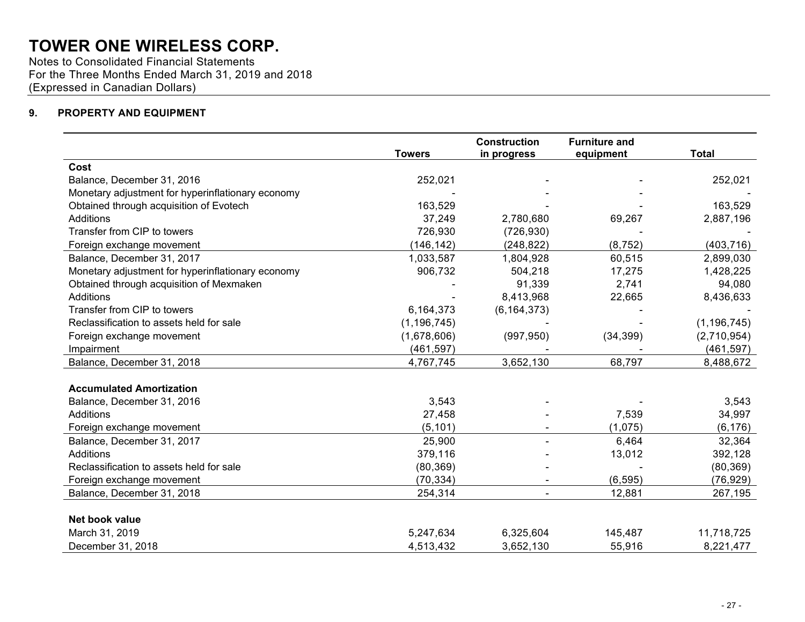Notes to Consolidated Financial Statements For the Three Months Ended March 31, 2019 and 2018 (Expressed in Canadian Dollars)

### **9. PROPERTY AND EQUIPMENT**

|                                                   |               | <b>Construction</b> | <b>Furniture and</b> |               |
|---------------------------------------------------|---------------|---------------------|----------------------|---------------|
|                                                   | <b>Towers</b> | in progress         | equipment            | <b>Total</b>  |
| Cost                                              |               |                     |                      |               |
| Balance, December 31, 2016                        | 252,021       |                     |                      | 252,021       |
| Monetary adjustment for hyperinflationary economy |               |                     |                      |               |
| Obtained through acquisition of Evotech           | 163,529       |                     |                      | 163,529       |
| Additions                                         | 37,249        | 2,780,680           | 69,267               | 2,887,196     |
| Transfer from CIP to towers                       | 726,930       | (726, 930)          |                      |               |
| Foreign exchange movement                         | (146, 142)    | (248, 822)          | (8, 752)             | (403, 716)    |
| Balance, December 31, 2017                        | 1,033,587     | 1,804,928           | 60,515               | 2,899,030     |
| Monetary adjustment for hyperinflationary economy | 906,732       | 504,218             | 17,275               | 1,428,225     |
| Obtained through acquisition of Mexmaken          |               | 91,339              | 2,741                | 94,080        |
| Additions                                         |               | 8,413,968           | 22,665               | 8,436,633     |
| Transfer from CIP to towers                       | 6,164,373     | (6, 164, 373)       |                      |               |
| Reclassification to assets held for sale          | (1, 196, 745) |                     |                      | (1, 196, 745) |
| Foreign exchange movement                         | (1,678,606)   | (997, 950)          | (34, 399)            | (2,710,954)   |
| Impairment                                        | (461, 597)    |                     |                      | (461, 597)    |
| Balance, December 31, 2018                        | 4,767,745     | 3,652,130           | 68,797               | 8,488,672     |
| <b>Accumulated Amortization</b>                   |               |                     |                      |               |
| Balance, December 31, 2016                        | 3,543         |                     |                      | 3,543         |
| Additions                                         | 27,458        |                     | 7,539                | 34,997        |
| Foreign exchange movement                         | (5, 101)      |                     | (1,075)              | (6, 176)      |
| Balance, December 31, 2017                        | 25,900        |                     | 6,464                | 32,364        |
| Additions                                         | 379,116       |                     | 13,012               | 392,128       |
| Reclassification to assets held for sale          | (80, 369)     |                     |                      | (80, 369)     |
| Foreign exchange movement                         | (70, 334)     |                     | (6, 595)             | (76, 929)     |
| Balance, December 31, 2018                        | 254,314       | $\blacksquare$      | 12,881               | 267,195       |
|                                                   |               |                     |                      |               |
| Net book value                                    |               |                     |                      |               |
| March 31, 2019                                    | 5,247,634     | 6,325,604           | 145,487              | 11,718,725    |
| December 31, 2018                                 | 4,513,432     | 3,652,130           | 55,916               | 8,221,477     |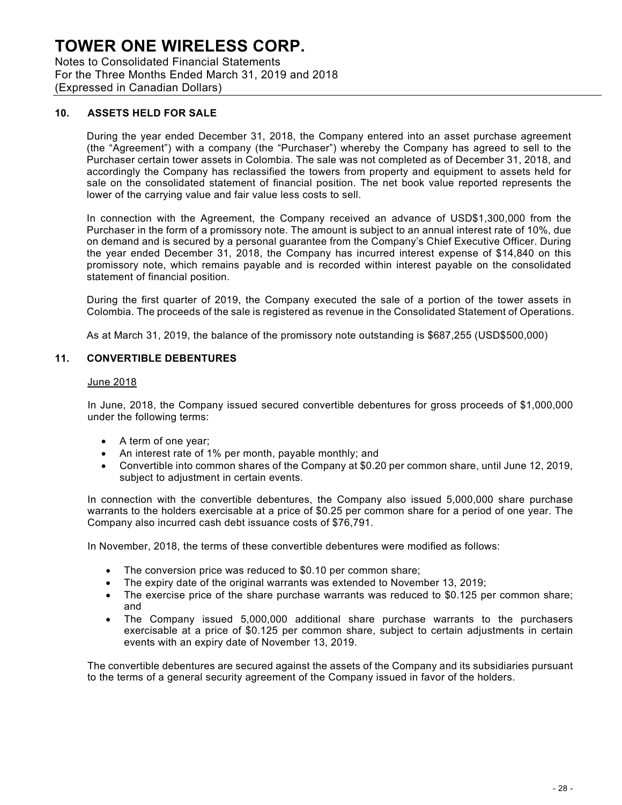Notes to Consolidated Financial Statements For the Three Months Ended March 31, 2019 and 2018 (Expressed in Canadian Dollars)

#### **10. ASSETS HELD FOR SALE**

During the year ended December 31, 2018, the Company entered into an asset purchase agreement (the "Agreement") with a company (the "Purchaser") whereby the Company has agreed to sell to the Purchaser certain tower assets in Colombia. The sale was not completed as of December 31, 2018, and accordingly the Company has reclassified the towers from property and equipment to assets held for sale on the consolidated statement of financial position. The net book value reported represents the lower of the carrying value and fair value less costs to sell.

In connection with the Agreement, the Company received an advance of USD\$1,300,000 from the Purchaser in the form of a promissory note. The amount is subject to an annual interest rate of 10%, due on demand and is secured by a personal guarantee from the Company's Chief Executive Officer. During the year ended December 31, 2018, the Company has incurred interest expense of \$14,840 on this promissory note, which remains payable and is recorded within interest payable on the consolidated statement of financial position.

During the first quarter of 2019, the Company executed the sale of a portion of the tower assets in Colombia. The proceeds of the sale is registered as revenue in the Consolidated Statement of Operations.

As at March 31, 2019, the balance of the promissory note outstanding is \$687,255 (USD\$500,000)

### **11. CONVERTIBLE DEBENTURES**

#### June 2018

In June, 2018, the Company issued secured convertible debentures for gross proceeds of \$1,000,000 under the following terms:

- A term of one year;
- An interest rate of 1% per month, payable monthly; and
- Convertible into common shares of the Company at \$0.20 per common share, until June 12, 2019, subject to adjustment in certain events.

In connection with the convertible debentures, the Company also issued 5,000,000 share purchase warrants to the holders exercisable at a price of \$0.25 per common share for a period of one year. The Company also incurred cash debt issuance costs of \$76,791.

In November, 2018, the terms of these convertible debentures were modified as follows:

- The conversion price was reduced to \$0.10 per common share;
- The expiry date of the original warrants was extended to November 13, 2019;
- The exercise price of the share purchase warrants was reduced to \$0.125 per common share; and
- The Company issued 5,000,000 additional share purchase warrants to the purchasers exercisable at a price of \$0.125 per common share, subject to certain adjustments in certain events with an expiry date of November 13, 2019.

The convertible debentures are secured against the assets of the Company and its subsidiaries pursuant to the terms of a general security agreement of the Company issued in favor of the holders.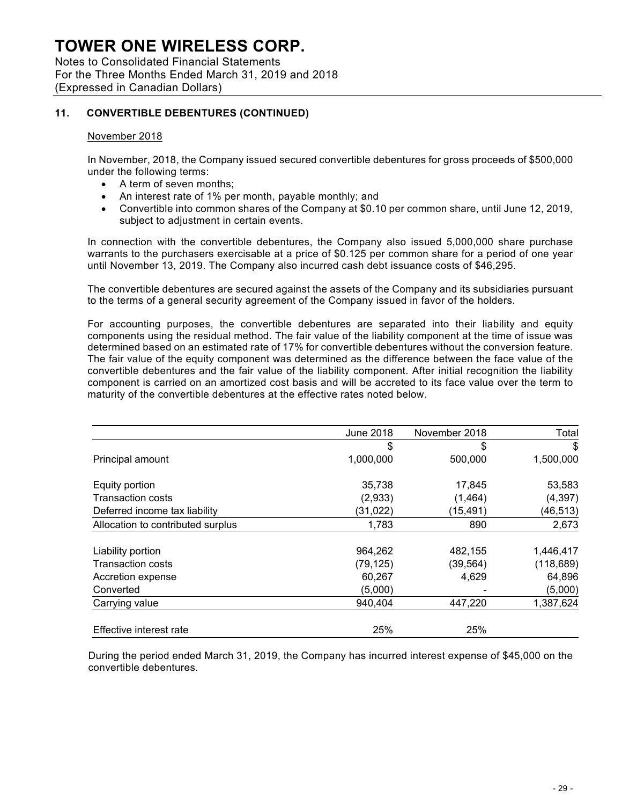Notes to Consolidated Financial Statements For the Three Months Ended March 31, 2019 and 2018 (Expressed in Canadian Dollars)

### **11. CONVERTIBLE DEBENTURES (CONTINUED)**

#### November 2018

In November, 2018, the Company issued secured convertible debentures for gross proceeds of \$500,000 under the following terms:

- A term of seven months;
- An interest rate of 1% per month, payable monthly; and
- Convertible into common shares of the Company at \$0.10 per common share, until June 12, 2019, subject to adjustment in certain events.

In connection with the convertible debentures, the Company also issued 5,000,000 share purchase warrants to the purchasers exercisable at a price of \$0.125 per common share for a period of one year until November 13, 2019. The Company also incurred cash debt issuance costs of \$46,295.

The convertible debentures are secured against the assets of the Company and its subsidiaries pursuant to the terms of a general security agreement of the Company issued in favor of the holders.

For accounting purposes, the convertible debentures are separated into their liability and equity components using the residual method. The fair value of the liability component at the time of issue was determined based on an estimated rate of 17% for convertible debentures without the conversion feature. The fair value of the equity component was determined as the difference between the face value of the convertible debentures and the fair value of the liability component. After initial recognition the liability component is carried on an amortized cost basis and will be accreted to its face value over the term to maturity of the convertible debentures at the effective rates noted below.

|                                   | <b>June 2018</b> | November 2018 | Total      |
|-----------------------------------|------------------|---------------|------------|
|                                   | \$               | \$            | \$         |
| Principal amount                  | 1,000,000        | 500,000       | 1,500,000  |
| Equity portion                    | 35,738           | 17,845        | 53,583     |
| <b>Transaction costs</b>          | (2,933)          | (1, 464)      | (4, 397)   |
| Deferred income tax liability     | (31,022)         | (15, 491)     | (46, 513)  |
| Allocation to contributed surplus | 1,783            | 890           | 2,673      |
| Liability portion                 | 964,262          | 482,155       | 1,446,417  |
| <b>Transaction costs</b>          | (79, 125)        | (39, 564)     | (118, 689) |
| Accretion expense                 | 60,267           | 4,629         | 64,896     |
| Converted                         | (5,000)          |               | (5,000)    |
| Carrying value                    | 940,404          | 447,220       | 1,387,624  |
| Effective interest rate           | 25%              | 25%           |            |

During the period ended March 31, 2019, the Company has incurred interest expense of \$45,000 on the convertible debentures.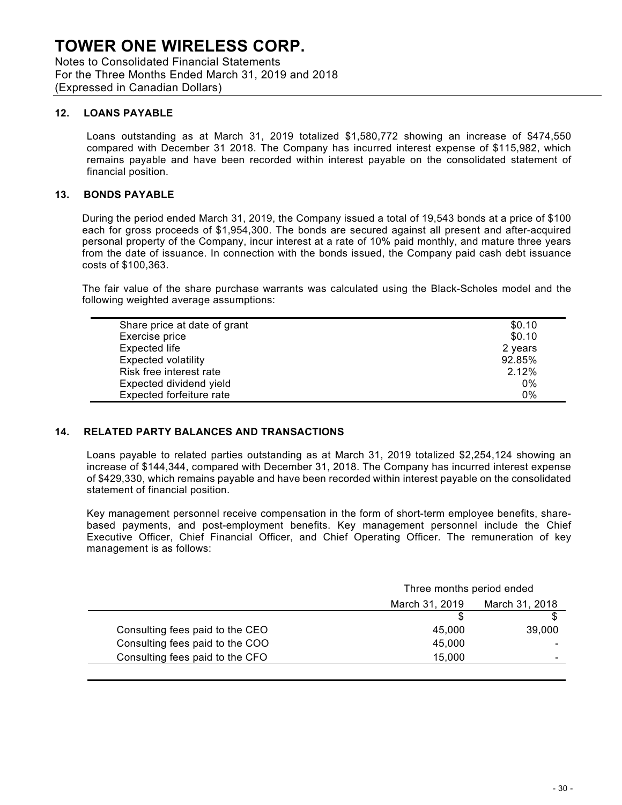Notes to Consolidated Financial Statements For the Three Months Ended March 31, 2019 and 2018 (Expressed in Canadian Dollars)

### **12. LOANS PAYABLE**

Loans outstanding as at March 31, 2019 totalized \$1,580,772 showing an increase of \$474,550 compared with December 31 2018. The Company has incurred interest expense of \$115,982, which remains payable and have been recorded within interest payable on the consolidated statement of financial position.

### **13. BONDS PAYABLE**

During the period ended March 31, 2019, the Company issued a total of 19,543 bonds at a price of \$100 each for gross proceeds of \$1,954,300. The bonds are secured against all present and after-acquired personal property of the Company, incur interest at a rate of 10% paid monthly, and mature three years from the date of issuance. In connection with the bonds issued, the Company paid cash debt issuance costs of \$100,363.

The fair value of the share purchase warrants was calculated using the Black-Scholes model and the following weighted average assumptions:

| Share price at date of grant | \$0.10  |
|------------------------------|---------|
| Exercise price               | \$0.10  |
| Expected life                | 2 years |
| <b>Expected volatility</b>   | 92.85%  |
| Risk free interest rate      | 2.12%   |
| Expected dividend yield      | 0%      |
| Expected forfeiture rate     | 0%      |

#### **14. RELATED PARTY BALANCES AND TRANSACTIONS**

Loans payable to related parties outstanding as at March 31, 2019 totalized \$2,254,124 showing an increase of \$144,344, compared with December 31, 2018. The Company has incurred interest expense of \$429,330, which remains payable and have been recorded within interest payable on the consolidated statement of financial position.

Key management personnel receive compensation in the form of short-term employee benefits, sharebased payments, and post-employment benefits. Key management personnel include the Chief Executive Officer, Chief Financial Officer, and Chief Operating Officer. The remuneration of key management is as follows:

|                                 | Three months period ended |                |  |
|---------------------------------|---------------------------|----------------|--|
|                                 | March 31, 2019            | March 31, 2018 |  |
|                                 |                           |                |  |
| Consulting fees paid to the CEO | 45,000                    | 39,000         |  |
| Consulting fees paid to the COO | 45,000                    |                |  |
| Consulting fees paid to the CFO | 15,000                    |                |  |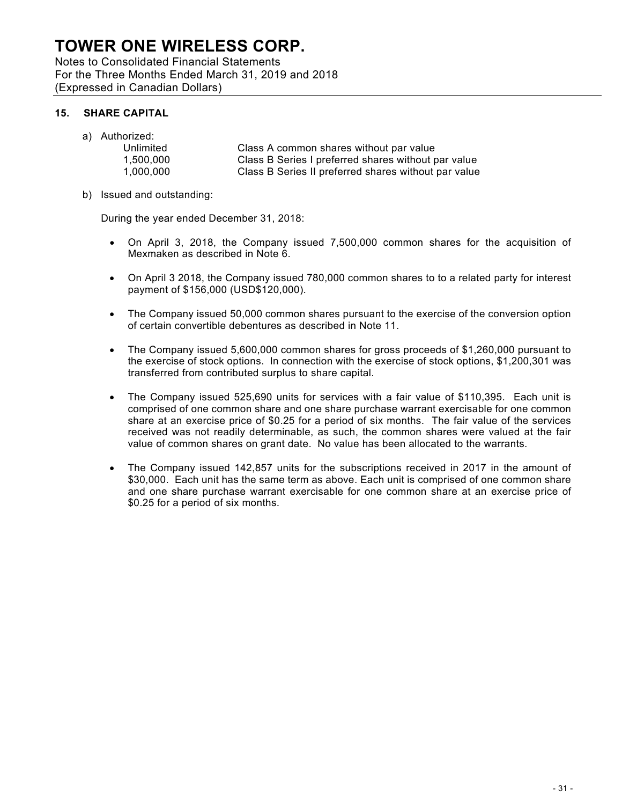Notes to Consolidated Financial Statements For the Three Months Ended March 31, 2019 and 2018 (Expressed in Canadian Dollars)

### **15. SHARE CAPITAL**

a) Authorized:

| Unlimited | Class A common shares without par value              |
|-----------|------------------------------------------------------|
| 1.500.000 | Class B Series I preferred shares without par value  |
| 1.000.000 | Class B Series II preferred shares without par value |

b) Issued and outstanding:

During the year ended December 31, 2018:

- On April 3, 2018, the Company issued 7,500,000 common shares for the acquisition of Mexmaken as described in Note 6.
- On April 3 2018, the Company issued 780,000 common shares to to a related party for interest payment of \$156,000 (USD\$120,000).
- The Company issued 50,000 common shares pursuant to the exercise of the conversion option of certain convertible debentures as described in Note 11.
- The Company issued 5,600,000 common shares for gross proceeds of \$1,260,000 pursuant to the exercise of stock options. In connection with the exercise of stock options, \$1,200,301 was transferred from contributed surplus to share capital.
- The Company issued 525,690 units for services with a fair value of \$110,395. Each unit is comprised of one common share and one share purchase warrant exercisable for one common share at an exercise price of \$0.25 for a period of six months. The fair value of the services received was not readily determinable, as such, the common shares were valued at the fair value of common shares on grant date. No value has been allocated to the warrants.
- The Company issued 142,857 units for the subscriptions received in 2017 in the amount of \$30,000. Each unit has the same term as above. Each unit is comprised of one common share and one share purchase warrant exercisable for one common share at an exercise price of \$0.25 for a period of six months.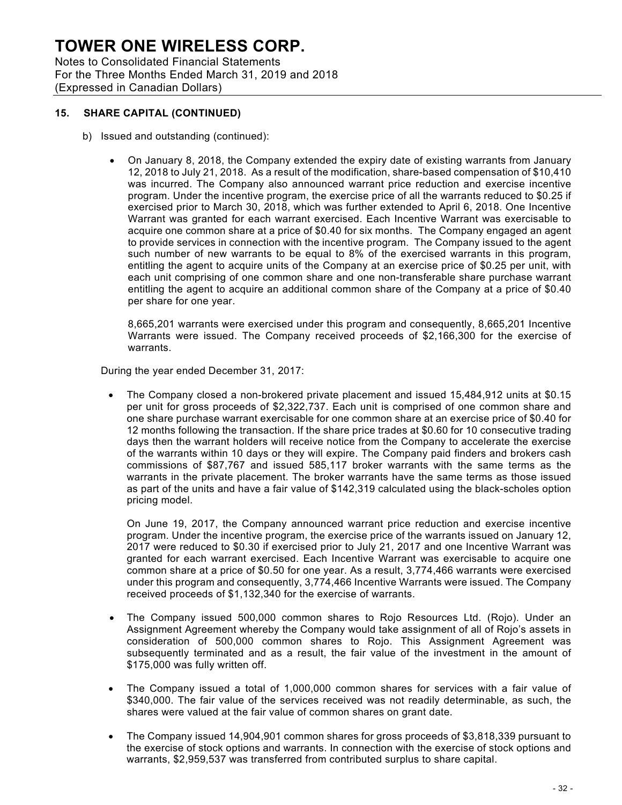Notes to Consolidated Financial Statements For the Three Months Ended March 31, 2019 and 2018 (Expressed in Canadian Dollars)

### **15. SHARE CAPITAL (CONTINUED)**

- b) Issued and outstanding (continued):
	- On January 8, 2018, the Company extended the expiry date of existing warrants from January 12, 2018 to July 21, 2018. As a result of the modification, share-based compensation of \$10,410 was incurred. The Company also announced warrant price reduction and exercise incentive program. Under the incentive program, the exercise price of all the warrants reduced to \$0.25 if exercised prior to March 30, 2018, which was further extended to April 6, 2018. One Incentive Warrant was granted for each warrant exercised. Each Incentive Warrant was exercisable to acquire one common share at a price of \$0.40 for six months. The Company engaged an agent to provide services in connection with the incentive program. The Company issued to the agent such number of new warrants to be equal to 8% of the exercised warrants in this program, entitling the agent to acquire units of the Company at an exercise price of \$0.25 per unit, with each unit comprising of one common share and one non-transferable share purchase warrant entitling the agent to acquire an additional common share of the Company at a price of \$0.40 per share for one year.

8,665,201 warrants were exercised under this program and consequently, 8,665,201 Incentive Warrants were issued. The Company received proceeds of \$2,166,300 for the exercise of warrants.

During the year ended December 31, 2017:

• The Company closed a non-brokered private placement and issued 15,484,912 units at \$0.15 per unit for gross proceeds of \$2,322,737. Each unit is comprised of one common share and one share purchase warrant exercisable for one common share at an exercise price of \$0.40 for 12 months following the transaction. If the share price trades at \$0.60 for 10 consecutive trading days then the warrant holders will receive notice from the Company to accelerate the exercise of the warrants within 10 days or they will expire. The Company paid finders and brokers cash commissions of \$87,767 and issued 585,117 broker warrants with the same terms as the warrants in the private placement. The broker warrants have the same terms as those issued as part of the units and have a fair value of \$142,319 calculated using the black-scholes option pricing model.

On June 19, 2017, the Company announced warrant price reduction and exercise incentive program. Under the incentive program, the exercise price of the warrants issued on January 12, 2017 were reduced to \$0.30 if exercised prior to July 21, 2017 and one Incentive Warrant was granted for each warrant exercised. Each Incentive Warrant was exercisable to acquire one common share at a price of \$0.50 for one year. As a result, 3,774,466 warrants were exercised under this program and consequently, 3,774,466 Incentive Warrants were issued. The Company received proceeds of \$1,132,340 for the exercise of warrants.

- The Company issued 500,000 common shares to Rojo Resources Ltd. (Rojo). Under an Assignment Agreement whereby the Company would take assignment of all of Rojo's assets in consideration of 500,000 common shares to Rojo. This Assignment Agreement was subsequently terminated and as a result, the fair value of the investment in the amount of \$175,000 was fully written off.
- The Company issued a total of 1,000,000 common shares for services with a fair value of \$340,000. The fair value of the services received was not readily determinable, as such, the shares were valued at the fair value of common shares on grant date.
- The Company issued 14,904,901 common shares for gross proceeds of \$3,818,339 pursuant to the exercise of stock options and warrants. In connection with the exercise of stock options and warrants, \$2,959,537 was transferred from contributed surplus to share capital.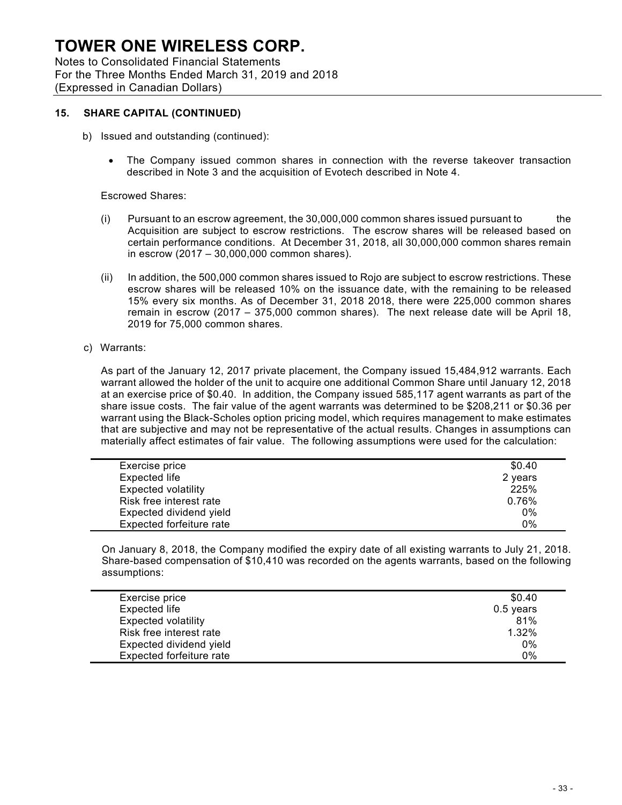Notes to Consolidated Financial Statements For the Three Months Ended March 31, 2019 and 2018 (Expressed in Canadian Dollars)

### **15. SHARE CAPITAL (CONTINUED)**

- b) Issued and outstanding (continued):
	- The Company issued common shares in connection with the reverse takeover transaction described in Note 3 and the acquisition of Evotech described in Note 4.

#### Escrowed Shares:

- (i) Pursuant to an escrow agreement, the 30,000,000 common shares issued pursuant to the Acquisition are subject to escrow restrictions. The escrow shares will be released based on certain performance conditions. At December 31, 2018, all 30,000,000 common shares remain in escrow (2017 – 30,000,000 common shares).
- (ii) In addition, the 500,000 common shares issued to Rojo are subject to escrow restrictions. These escrow shares will be released 10% on the issuance date, with the remaining to be released 15% every six months. As of December 31, 2018 2018, there were 225,000 common shares remain in escrow (2017 – 375,000 common shares). The next release date will be April 18, 2019 for 75,000 common shares.

#### c) Warrants:

As part of the January 12, 2017 private placement, the Company issued 15,484,912 warrants. Each warrant allowed the holder of the unit to acquire one additional Common Share until January 12, 2018 at an exercise price of \$0.40. In addition, the Company issued 585,117 agent warrants as part of the share issue costs. The fair value of the agent warrants was determined to be \$208,211 or \$0.36 per warrant using the Black-Scholes option pricing model, which requires management to make estimates that are subjective and may not be representative of the actual results. Changes in assumptions can materially affect estimates of fair value. The following assumptions were used for the calculation:

| Exercise price             | \$0.40  |
|----------------------------|---------|
| Expected life              | 2 years |
| <b>Expected volatility</b> | 225%    |
| Risk free interest rate    | 0.76%   |
| Expected dividend yield    | 0%      |
| Expected forfeiture rate   | 0%      |

On January 8, 2018, the Company modified the expiry date of all existing warrants to July 21, 2018. Share-based compensation of \$10,410 was recorded on the agents warrants, based on the following assumptions:

| Exercise price             | \$0.40      |
|----------------------------|-------------|
| Expected life              | $0.5$ years |
| <b>Expected volatility</b> | 81%         |
| Risk free interest rate    | 1.32%       |
| Expected dividend yield    | 0%          |
| Expected forfeiture rate   | $0\%$       |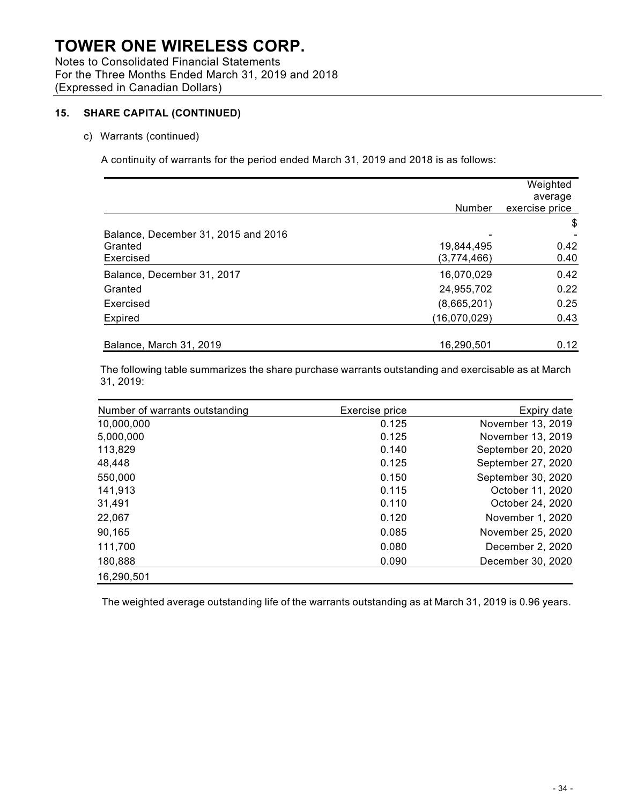Notes to Consolidated Financial Statements For the Three Months Ended March 31, 2019 and 2018 (Expressed in Canadian Dollars)

### **15. SHARE CAPITAL (CONTINUED)**

#### c) Warrants (continued)

A continuity of warrants for the period ended March 31, 2019 and 2018 is as follows:

|                                     |               | Weighted<br>average |
|-------------------------------------|---------------|---------------------|
|                                     | <b>Number</b> | exercise price      |
|                                     |               | \$                  |
| Balance, December 31, 2015 and 2016 |               |                     |
| Granted                             | 19,844,495    | 0.42                |
| Exercised                           | (3,774,466)   | 0.40                |
| Balance, December 31, 2017          | 16,070,029    | 0.42                |
| Granted                             | 24,955,702    | 0.22                |
| Exercised                           | (8,665,201)   | 0.25                |
| Expired                             | (16,070,029)  | 0.43                |
| Balance, March 31, 2019             | 16,290,501    | 0.12                |

The following table summarizes the share purchase warrants outstanding and exercisable as at March 31, 2019:

| Number of warrants outstanding | Exercise price | Expiry date        |
|--------------------------------|----------------|--------------------|
| 10,000,000                     | 0.125          | November 13, 2019  |
| 5,000,000                      | 0.125          | November 13, 2019  |
| 113,829                        | 0.140          | September 20, 2020 |
| 48,448                         | 0.125          | September 27, 2020 |
| 550,000                        | 0.150          | September 30, 2020 |
| 141,913                        | 0.115          | October 11, 2020   |
| 31,491                         | 0.110          | October 24, 2020   |
| 22,067                         | 0.120          | November 1, 2020   |
| 90,165                         | 0.085          | November 25, 2020  |
| 111,700                        | 0.080          | December 2, 2020   |
| 180,888                        | 0.090          | December 30, 2020  |
| 16,290,501                     |                |                    |

The weighted average outstanding life of the warrants outstanding as at March 31, 2019 is 0.96 years.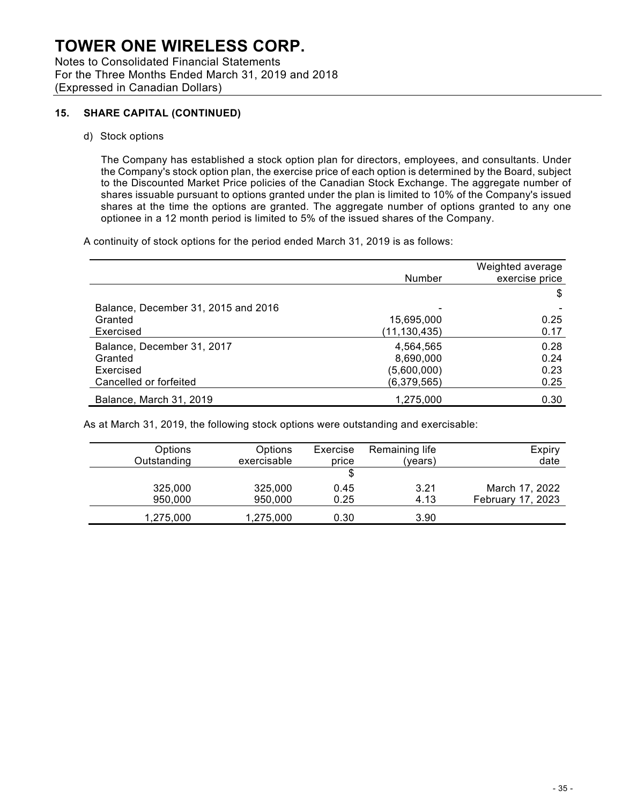Notes to Consolidated Financial Statements For the Three Months Ended March 31, 2019 and 2018 (Expressed in Canadian Dollars)

### **15. SHARE CAPITAL (CONTINUED)**

#### d) Stock options

The Company has established a stock option plan for directors, employees, and consultants. Under the Company's stock option plan, the exercise price of each option is determined by the Board, subject to the Discounted Market Price policies of the Canadian Stock Exchange. The aggregate number of shares issuable pursuant to options granted under the plan is limited to 10% of the Company's issued shares at the time the options are granted. The aggregate number of options granted to any one optionee in a 12 month period is limited to 5% of the issued shares of the Company.

A continuity of stock options for the period ended March 31, 2019 is as follows:

|                                     | <b>Number</b> | Weighted average<br>exercise price |
|-------------------------------------|---------------|------------------------------------|
|                                     |               | \$                                 |
| Balance, December 31, 2015 and 2016 |               |                                    |
| Granted                             | 15,695,000    | 0.25                               |
| Exercised                           | (11,130,435)  | 0.17                               |
| Balance, December 31, 2017          | 4,564,565     | 0.28                               |
| Granted                             | 8,690,000     | 0.24                               |
| Exercised                           | (5,600,000)   | 0.23                               |
| Cancelled or forfeited              | (6,379,565)   | 0.25                               |
| Balance, March 31, 2019             | 1,275,000     | 0.30                               |

As at March 31, 2019, the following stock options were outstanding and exercisable:

| <b>Expiry</b>     | Remaining life | Exercise | Options     | Options     |
|-------------------|----------------|----------|-------------|-------------|
| date              | (vears)        | price    | exercisable | Outstanding |
|                   |                | \$       |             |             |
| March 17, 2022    | 3.21           | 0.45     | 325,000     | 325,000     |
| February 17, 2023 | 4.13           | 0.25     | 950,000     | 950,000     |
|                   | 3.90           | 0.30     | 1,275,000   | 1,275,000   |
|                   |                |          |             |             |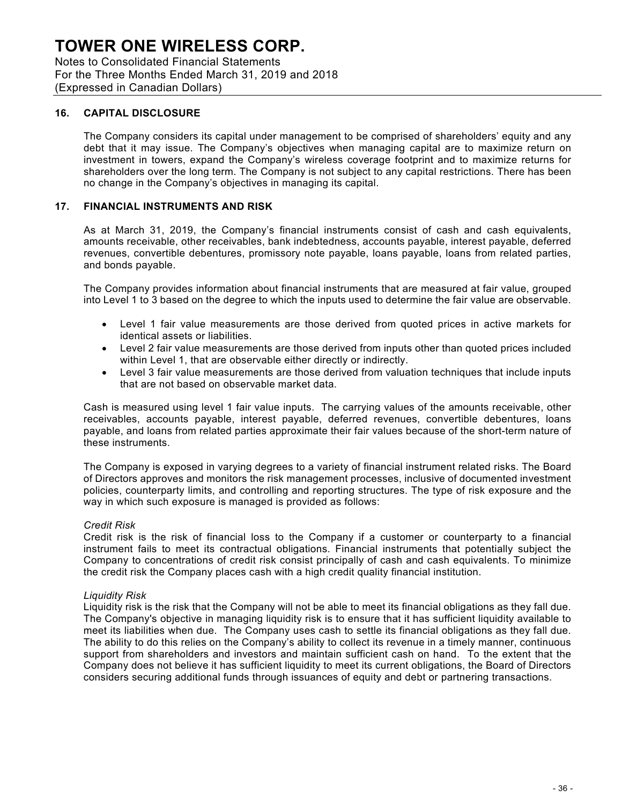Notes to Consolidated Financial Statements For the Three Months Ended March 31, 2019 and 2018 (Expressed in Canadian Dollars)

#### **16. CAPITAL DISCLOSURE**

The Company considers its capital under management to be comprised of shareholders' equity and any debt that it may issue. The Company's objectives when managing capital are to maximize return on investment in towers, expand the Company's wireless coverage footprint and to maximize returns for shareholders over the long term. The Company is not subject to any capital restrictions. There has been no change in the Company's objectives in managing its capital.

#### **17. FINANCIAL INSTRUMENTS AND RISK**

As at March 31, 2019, the Company's financial instruments consist of cash and cash equivalents, amounts receivable, other receivables, bank indebtedness, accounts payable, interest payable, deferred revenues, convertible debentures, promissory note payable, loans payable, loans from related parties, and bonds payable.

The Company provides information about financial instruments that are measured at fair value, grouped into Level 1 to 3 based on the degree to which the inputs used to determine the fair value are observable.

- Level 1 fair value measurements are those derived from quoted prices in active markets for identical assets or liabilities.
- Level 2 fair value measurements are those derived from inputs other than quoted prices included within Level 1, that are observable either directly or indirectly.
- Level 3 fair value measurements are those derived from valuation techniques that include inputs that are not based on observable market data.

Cash is measured using level 1 fair value inputs. The carrying values of the amounts receivable, other receivables, accounts payable, interest payable, deferred revenues, convertible debentures, loans payable, and loans from related parties approximate their fair values because of the short-term nature of these instruments.

The Company is exposed in varying degrees to a variety of financial instrument related risks. The Board of Directors approves and monitors the risk management processes, inclusive of documented investment policies, counterparty limits, and controlling and reporting structures. The type of risk exposure and the way in which such exposure is managed is provided as follows:

#### *Credit Risk*

Credit risk is the risk of financial loss to the Company if a customer or counterparty to a financial instrument fails to meet its contractual obligations. Financial instruments that potentially subject the Company to concentrations of credit risk consist principally of cash and cash equivalents. To minimize the credit risk the Company places cash with a high credit quality financial institution.

#### *Liquidity Risk*

Liquidity risk is the risk that the Company will not be able to meet its financial obligations as they fall due. The Company's objective in managing liquidity risk is to ensure that it has sufficient liquidity available to meet its liabilities when due. The Company uses cash to settle its financial obligations as they fall due. The ability to do this relies on the Company's ability to collect its revenue in a timely manner, continuous support from shareholders and investors and maintain sufficient cash on hand. To the extent that the Company does not believe it has sufficient liquidity to meet its current obligations, the Board of Directors considers securing additional funds through issuances of equity and debt or partnering transactions.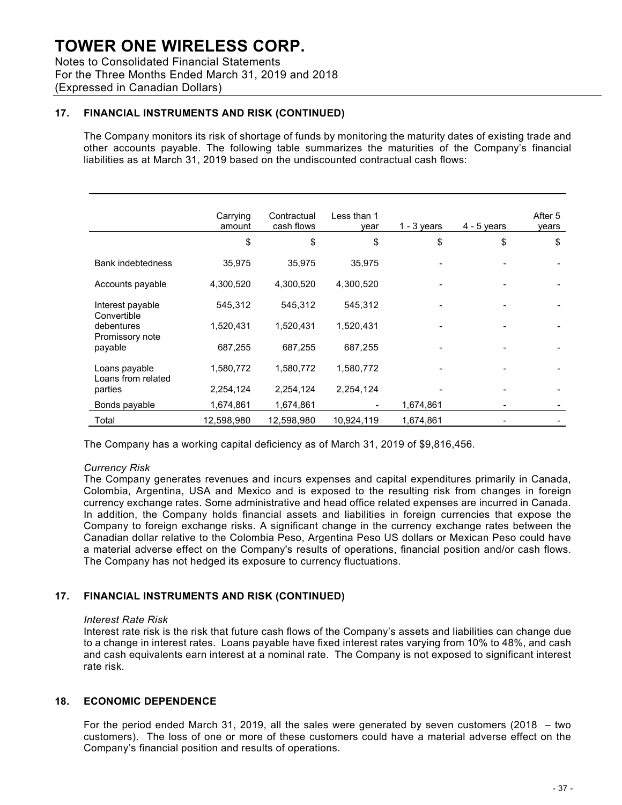Notes to Consolidated Financial Statements For the Three Months Ended March 31, 2019 and 2018 (Expressed in Canadian Dollars)

### **17. FINANCIAL INSTRUMENTS AND RISK (CONTINUED)**

The Company monitors its risk of shortage of funds by monitoring the maturity dates of existing trade and other accounts payable. The following table summarizes the maturities of the Company's financial liabilities as at March 31, 2019 based on the undiscounted contractual cash flows:

|                                     | Carrying<br>amount | Contractual<br>cash flows | Less than 1<br>vear | $1 - 3$ years | $4 - 5$ years | After 5<br>years |
|-------------------------------------|--------------------|---------------------------|---------------------|---------------|---------------|------------------|
|                                     | \$                 | \$                        | \$                  | \$            | \$            | \$               |
| <b>Bank indebtedness</b>            | 35,975             | 35,975                    | 35,975              |               |               |                  |
| Accounts payable                    | 4,300,520          | 4,300,520                 | 4,300,520           |               |               |                  |
| Interest payable                    | 545,312            | 545,312                   | 545,312             |               |               |                  |
| Convertible<br>debentures           | 1,520,431          | 1,520,431                 | 1,520,431           |               |               |                  |
| Promissory note<br>payable          | 687,255            | 687,255                   | 687,255             |               |               |                  |
| Loans payable<br>Loans from related | 1,580,772          | 1,580,772                 | 1,580,772           |               |               |                  |
| parties                             | 2,254,124          | 2,254,124                 | 2,254,124           |               |               |                  |
| Bonds payable                       | 1,674,861          | 1,674,861                 |                     | 1,674,861     |               |                  |
| Total                               | 12,598,980         | 12.598.980                | 10.924.119          | 1,674,861     |               |                  |

The Company has a working capital deficiency as of March 31, 2019 of \$9,816,456.

### *Currency Risk*

The Company generates revenues and incurs expenses and capital expenditures primarily in Canada, Colombia, Argentina, USA and Mexico and is exposed to the resulting risk from changes in foreign currency exchange rates. Some administrative and head office related expenses are incurred in Canada. In addition, the Company holds financial assets and liabilities in foreign currencies that expose the Company to foreign exchange risks. A significant change in the currency exchange rates between the Canadian dollar relative to the Colombia Peso, Argentina Peso US dollars or Mexican Peso could have a material adverse effect on the Company's results of operations, financial position and/or cash flows. The Company has not hedged its exposure to currency fluctuations.

### **17. FINANCIAL INSTRUMENTS AND RISK (CONTINUED)**

#### *Interest Rate Risk*

Interest rate risk is the risk that future cash flows of the Company's assets and liabilities can change due to a change in interest rates. Loans payable have fixed interest rates varying from 10% to 48%, and cash and cash equivalents earn interest at a nominal rate. The Company is not exposed to significant interest rate risk.

### **18. ECONOMIC DEPENDENCE**

For the period ended March 31, 2019, all the sales were generated by seven customers (2018 – two customers). The loss of one or more of these customers could have a material adverse effect on the Company's financial position and results of operations.